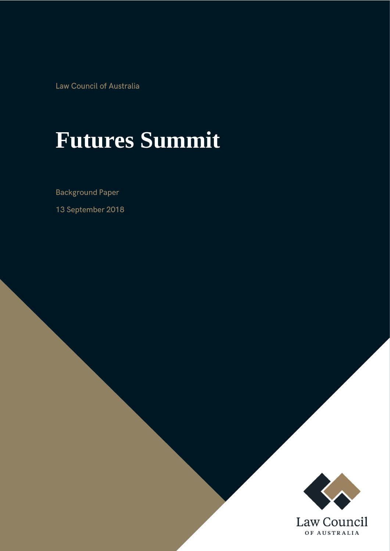Law Council of Australia

# **Futures Summit**

**Background Paper** 

13 September 2018

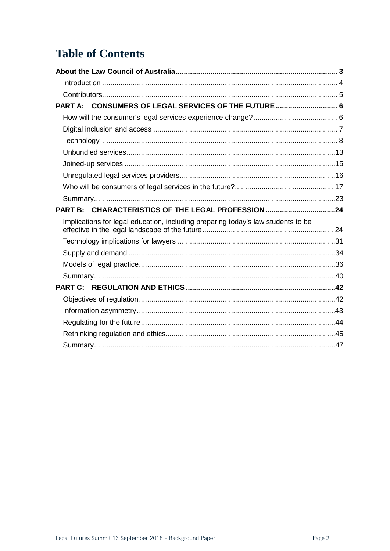# **Table of Contents**

| PART A: CONSUMERS OF LEGAL SERVICES OF THE FUTURE  6                             |  |
|----------------------------------------------------------------------------------|--|
|                                                                                  |  |
|                                                                                  |  |
|                                                                                  |  |
|                                                                                  |  |
|                                                                                  |  |
|                                                                                  |  |
|                                                                                  |  |
|                                                                                  |  |
| PART B: CHARACTERISTICS OF THE LEGAL PROFESSION 24                               |  |
| Implications for legal education, including preparing today's law students to be |  |
|                                                                                  |  |
|                                                                                  |  |
|                                                                                  |  |
|                                                                                  |  |
|                                                                                  |  |
|                                                                                  |  |
|                                                                                  |  |
|                                                                                  |  |
|                                                                                  |  |
|                                                                                  |  |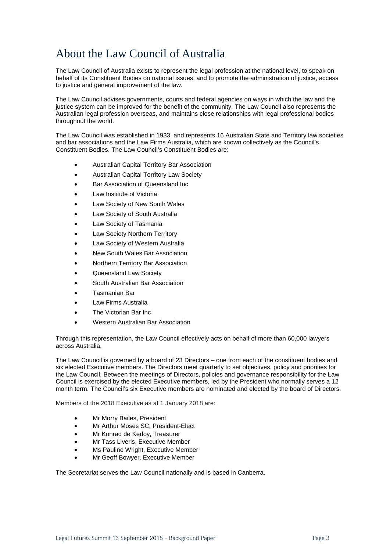# <span id="page-2-0"></span>About the Law Council of Australia

The Law Council of Australia exists to represent the legal profession at the national level, to speak on behalf of its Constituent Bodies on national issues, and to promote the administration of justice, access to justice and general improvement of the law.

The Law Council advises governments, courts and federal agencies on ways in which the law and the justice system can be improved for the benefit of the community. The Law Council also represents the Australian legal profession overseas, and maintains close relationships with legal professional bodies throughout the world.

The Law Council was established in 1933, and represents 16 Australian State and Territory law societies and bar associations and the Law Firms Australia, which are known collectively as the Council's Constituent Bodies. The Law Council's Constituent Bodies are:

- Australian Capital Territory Bar Association
- Australian Capital Territory Law Society
- Bar Association of Queensland Inc
- Law Institute of Victoria
- Law Society of New South Wales
- Law Society of South Australia
- Law Society of Tasmania
- Law Society Northern Territory
- Law Society of Western Australia
- New South Wales Bar Association
- Northern Territory Bar Association
- Queensland Law Society
- South Australian Bar Association
- Tasmanian Bar
- Law Firms Australia
- The Victorian Bar Inc
- Western Australian Bar Association

Through this representation, the Law Council effectively acts on behalf of more than 60,000 lawyers across Australia.

The Law Council is governed by a board of 23 Directors – one from each of the constituent bodies and six elected Executive members. The Directors meet quarterly to set objectives, policy and priorities for the Law Council. Between the meetings of Directors, policies and governance responsibility for the Law Council is exercised by the elected Executive members, led by the President who normally serves a 12 month term. The Council's six Executive members are nominated and elected by the board of Directors.

Members of the 2018 Executive as at 1 January 2018 are:

- Mr Morry Bailes, President
- Mr Arthur Moses SC, President-Elect
- Mr Konrad de Kerloy, Treasurer
- Mr Tass Liveris, Executive Member
- Ms Pauline Wright, Executive Member
- Mr Geoff Bowyer, Executive Member

The Secretariat serves the Law Council nationally and is based in Canberra.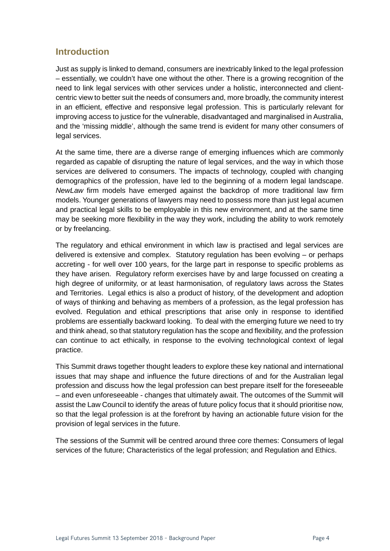# <span id="page-3-0"></span>**Introduction**

Just as supply is linked to demand, consumers are inextricably linked to the legal profession – essentially, we couldn't have one without the other. There is a growing recognition of the need to link legal services with other services under a holistic, interconnected and clientcentric view to better suit the needs of consumers and, more broadly, the community interest in an efficient, effective and responsive legal profession. This is particularly relevant for improving access to justice for the vulnerable, disadvantaged and marginalised in Australia, and the 'missing middle', although the same trend is evident for many other consumers of legal services.

At the same time, there are a diverse range of emerging influences which are commonly regarded as capable of disrupting the nature of legal services, and the way in which those services are delivered to consumers. The impacts of technology, coupled with changing demographics of the profession, have led to the beginning of a modern legal landscape. *NewLaw* firm models have emerged against the backdrop of more traditional law firm models. Younger generations of lawyers may need to possess more than just legal acumen and practical legal skills to be employable in this new environment, and at the same time may be seeking more flexibility in the way they work, including the ability to work remotely or by freelancing.

The regulatory and ethical environment in which law is practised and legal services are delivered is extensive and complex. Statutory regulation has been evolving – or perhaps accreting - for well over 100 years, for the large part in response to specific problems as they have arisen. Regulatory reform exercises have by and large focussed on creating a high degree of uniformity, or at least harmonisation, of regulatory laws across the States and Territories. Legal ethics is also a product of history, of the development and adoption of ways of thinking and behaving as members of a profession, as the legal profession has evolved. Regulation and ethical prescriptions that arise only in response to identified problems are essentially backward looking. To deal with the emerging future we need to try and think ahead, so that statutory regulation has the scope and flexibility, and the profession can continue to act ethically, in response to the evolving technological context of legal practice.

This Summit draws together thought leaders to explore these key national and international issues that may shape and influence the future directions of and for the Australian legal profession and discuss how the legal profession can best prepare itself for the foreseeable – and even unforeseeable - changes that ultimately await. The outcomes of the Summit will assist the Law Council to identify the areas of future policy focus that it should prioritise now, so that the legal profession is at the forefront by having an actionable future vision for the provision of legal services in the future.

The sessions of the Summit will be centred around three core themes: Consumers of legal services of the future; Characteristics of the legal profession; and Regulation and Ethics.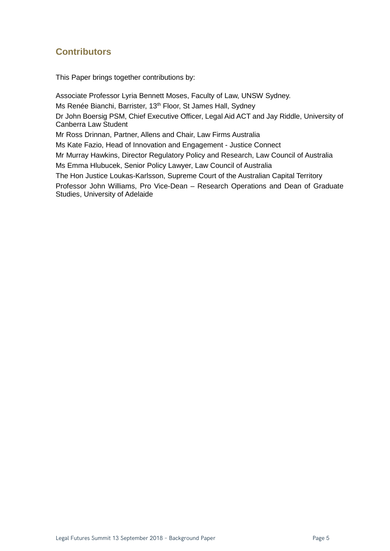# <span id="page-4-0"></span>**Contributors**

This Paper brings together contributions by:

Associate Professor Lyria Bennett Moses, Faculty of Law, UNSW Sydney. Ms Renée Bianchi, Barrister, 13<sup>th</sup> Floor, St James Hall, Sydney Dr John Boersig PSM, Chief Executive Officer, Legal Aid ACT and Jay Riddle, University of Canberra Law Student Mr Ross Drinnan, Partner, Allens and Chair, Law Firms Australia Ms Kate Fazio, Head of Innovation and Engagement - Justice Connect Mr Murray Hawkins, Director Regulatory Policy and Research, Law Council of Australia Ms Emma Hlubucek, Senior Policy Lawyer, Law Council of Australia The Hon Justice Loukas-Karlsson, Supreme Court of the Australian Capital Territory Professor John Williams, Pro Vice-Dean – Research Operations and Dean of Graduate Studies, University of Adelaide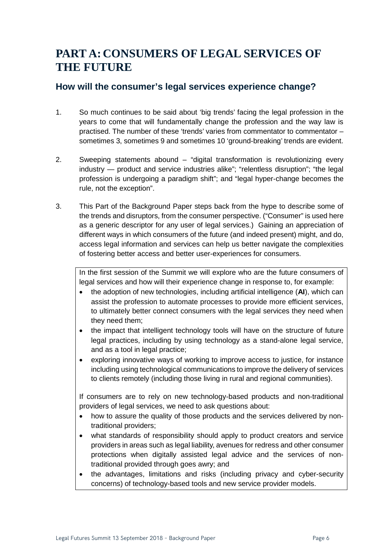# <span id="page-5-0"></span>**PART A: CONSUMERS OF LEGAL SERVICES OF THE FUTURE**

# <span id="page-5-1"></span>**How will the consumer's legal services experience change?**

- 1. So much continues to be said about 'big trends' facing the legal profession in the years to come that will fundamentally change the profession and the way law is practised. The number of these 'trends' varies from commentator to commentator – sometimes 3, sometimes 9 and sometimes 10 'ground-breaking' trends are evident.
- 2. Sweeping statements abound "digital transformation is revolutionizing every industry — product and service industries alike"; "relentless disruption"; "the legal profession is undergoing a paradigm shift"; and "legal hyper-change becomes the rule, not the exception".
- 3. This Part of the Background Paper steps back from the hype to describe some of the trends and disruptors, from the consumer perspective. ("Consumer" is used here as a generic descriptor for any user of legal services.) Gaining an appreciation of different ways in which consumers of the future (and indeed present) might, and do, access legal information and services can help us better navigate the complexities of fostering better access and better user-experiences for consumers.

In the first session of the Summit we will explore who are the future consumers of legal services and how will their experience change in response to, for example:

- the adoption of new technologies, including artificial intelligence (**AI**), which can assist the profession to automate processes to provide more efficient services, to ultimately better connect consumers with the legal services they need when they need them;
- the impact that intelligent technology tools will have on the structure of future legal practices, including by using technology as a stand-alone legal service, and as a tool in legal practice;
- exploring innovative ways of working to improve access to justice, for instance including using technological communications to improve the delivery of services to clients remotely (including those living in rural and regional communities).

If consumers are to rely on new technology-based products and non-traditional providers of legal services, we need to ask questions about:

- how to assure the quality of those products and the services delivered by nontraditional providers;
- what standards of responsibility should apply to product creators and service providers in areas such as legal liability, avenues for redress and other consumer protections when digitally assisted legal advice and the services of nontraditional provided through goes awry; and
- the advantages, limitations and risks (including privacy and cyber-security concerns) of technology-based tools and new service provider models.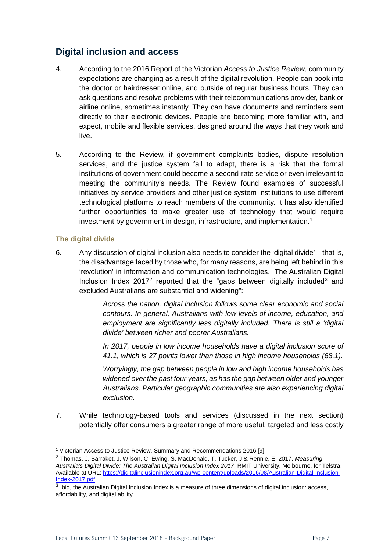# <span id="page-6-0"></span>**Digital inclusion and access**

- 4. According to the 2016 Report of the Victorian *Access to Justice Review*, community expectations are changing as a result of the digital revolution. People can book into the doctor or hairdresser online, and outside of regular business hours. They can ask questions and resolve problems with their telecommunications provider, bank or airline online, sometimes instantly. They can have documents and reminders sent directly to their electronic devices. People are becoming more familiar with, and expect, mobile and flexible services, designed around the ways that they work and live.
- 5. According to the Review, if government complaints bodies, dispute resolution services, and the justice system fail to adapt, there is a risk that the formal institutions of government could become a second-rate service or even irrelevant to meeting the community's needs. The Review found examples of successful initiatives by service providers and other justice system institutions to use different technological platforms to reach members of the community. It has also identified further opportunities to make greater use of technology that would require investment by government in design, infrastructure, and implementation.<sup>[1](#page-6-1)</sup>

#### **The digital divide**

6. Any discussion of digital inclusion also needs to consider the 'digital divide' – that is, the disadvantage faced by those who, for many reasons, are being left behind in this 'revolution' in information and communication technologies. The Australian Digital Inclusion Index  $2017^2$  $2017^2$  reported that the "gaps between digitally included<sup>[3](#page-6-3)</sup> and excluded Australians are substantial and widening":

> *Across the nation, digital inclusion follows some clear economic and social contours. In general, Australians with low levels of income, education, and employment are significantly less digitally included. There is still a 'digital divide' between richer and poorer Australians.*

> *In 2017, people in low income households have a digital inclusion score of 41.1, which is 27 points lower than those in high income households (68.1).*

> *Worryingly, the gap between people in low and high income households has widened over the past four years, as has the gap between older and younger Australians. Particular geographic communities are also experiencing digital exclusion.*

7. While technology-based tools and services (discussed in the next section) potentially offer consumers a greater range of more useful, targeted and less costly

<span id="page-6-1"></span> <sup>1</sup> Victorian Access to Justice Review, Summary and Recommendations 2016 [9].

<span id="page-6-2"></span><sup>2</sup> Thomas, J, Barraket, J, Wilson, C, Ewing, S, MacDonald, T, Tucker, J & Rennie, E, 2017, *Measuring Australia's Digital Divide: The Australian Digital Inclusion Index 2017*, RMIT University, Melbourne, for Telstra. Available at URL: [https://digitalinclusionindex.org.au/wp-content/uploads/2016/08/Australian-Digital-Inclusion-](https://digitalinclusionindex.org.au/wp-content/uploads/2016/08/Australian-Digital-Inclusion-Index-2017.pdf)[Index-2017.pdf](https://digitalinclusionindex.org.au/wp-content/uploads/2016/08/Australian-Digital-Inclusion-Index-2017.pdf)

<span id="page-6-3"></span> $3$  Ibid, the Australian Digital Inclusion Index is a measure of three dimensions of digital inclusion: access, affordability, and digital ability.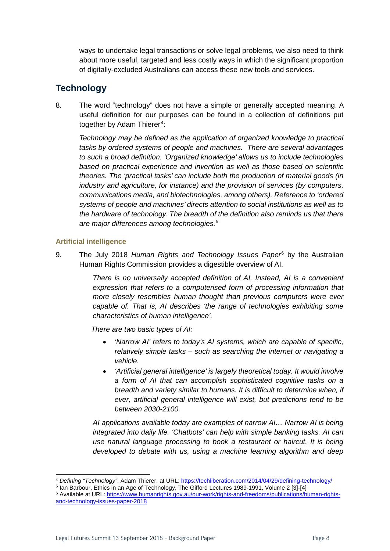ways to undertake legal transactions or solve legal problems, we also need to think about more useful, targeted and less costly ways in which the significant proportion of digitally-excluded Australians can access these new tools and services.

# <span id="page-7-0"></span>**Technology**

8. The word "technology" does not have a simple or generally accepted meaning. A useful definition for our purposes can be found in a collection of definitions put together by Adam Thierer<sup>[4](#page-7-1)</sup>:

*Technology may be defined as the application of organized knowledge to practical tasks by ordered systems of people and machines. There are several advantages to such a broad definition. 'Organized knowledge' allows us to include technologies based on practical experience and invention as well as those based on scientific theories. The 'practical tasks' can include both the production of material goods (in industry and agriculture, for instance) and the provision of services (by computers, communications media, and biotechnologies, among others). Reference to 'ordered systems of people and machines' directs attention to social institutions as well as to the hardware of technology. The breadth of the definition also reminds us that there are major differences among technologies.[5](#page-7-2)*

#### **Artificial intelligence**

9. The July 2018 *Human Rights and Technology Issues Paper*[6](#page-7-3) by the Australian Human Rights Commission provides a digestible overview of AI.

> *There is no universally accepted definition of AI. Instead, AI is a convenient expression that refers to a computerised form of processing information that more closely resembles human thought than previous computers were ever capable of. That is, AI describes 'the range of technologies exhibiting some characteristics of human intelligence'.*

*There are two basic types of AI:*

- *'Narrow AI' refers to today's AI systems, which are capable of specific, relatively simple tasks – such as searching the internet or navigating a vehicle.*
- *'Artificial general intelligence' is largely theoretical today. It would involve a form of AI that can accomplish sophisticated cognitive tasks on a breadth and variety similar to humans. It is difficult to determine when, if ever, artificial general intelligence will exist, but predictions tend to be between 2030-2100.*

*AI applications available today are examples of narrow AI… Narrow AI is being integrated into daily life. 'Chatbots' can help with simple banking tasks. AI can use natural language processing to book a restaurant or haircut. It is being developed to debate with us, using a machine learning algorithm and deep* 

<span id="page-7-1"></span> <sup>4</sup> *Defining "Technology"*, Adam Thierer, at URL[: https://techliberation.com/2014/04/29/defining-technology/](https://techliberation.com/2014/04/29/defining-technology/)

<span id="page-7-2"></span><sup>5</sup> Ian Barbour, Ethics in an Age of Technology, The Gifford Lectures 1989-1991, Volume 2 [3]-[4]

<span id="page-7-3"></span><sup>6</sup> Available at URL: [https://www.humanrights.gov.au/our-work/rights-and-freedoms/publications/human-rights](https://www.humanrights.gov.au/our-work/rights-and-freedoms/publications/human-rights-and-technology-issues-paper-2018)[and-technology-issues-paper-2018](https://www.humanrights.gov.au/our-work/rights-and-freedoms/publications/human-rights-and-technology-issues-paper-2018)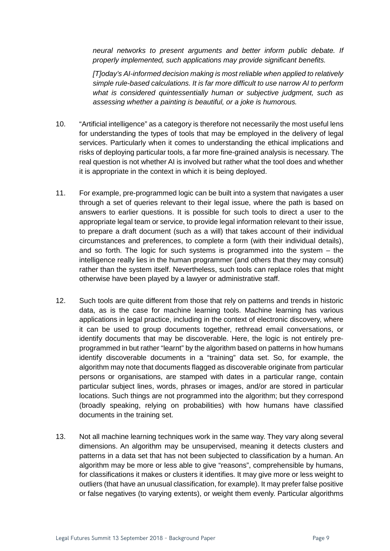*neural networks to present arguments and better inform public debate. If properly implemented, such applications may provide significant benefits.*

*[T]oday's AI-informed decision making is most reliable when applied to relatively simple rule-based calculations. It is far more difficult to use narrow AI to perform what is considered quintessentially human or subjective judgment, such as assessing whether a painting is beautiful, or a joke is humorous.*

- 10. "Artificial intelligence" as a category is therefore not necessarily the most useful lens for understanding the types of tools that may be employed in the delivery of legal services. Particularly when it comes to understanding the ethical implications and risks of deploying particular tools, a far more fine-grained analysis is necessary. The real question is not whether AI is involved but rather what the tool does and whether it is appropriate in the context in which it is being deployed.
- 11. For example, pre-programmed logic can be built into a system that navigates a user through a set of queries relevant to their legal issue, where the path is based on answers to earlier questions. It is possible for such tools to direct a user to the appropriate legal team or service, to provide legal information relevant to their issue, to prepare a draft document (such as a will) that takes account of their individual circumstances and preferences, to complete a form (with their individual details), and so forth. The logic for such systems is programmed into the system – the intelligence really lies in the human programmer (and others that they may consult) rather than the system itself. Nevertheless, such tools can replace roles that might otherwise have been played by a lawyer or administrative staff.
- 12. Such tools are quite different from those that rely on patterns and trends in historic data, as is the case for machine learning tools. Machine learning has various applications in legal practice, including in the context of electronic discovery, where it can be used to group documents together, rethread email conversations, or identify documents that may be discoverable. Here, the logic is not entirely preprogrammed in but rather "learnt" by the algorithm based on patterns in how humans identify discoverable documents in a "training" data set. So, for example, the algorithm may note that documents flagged as discoverable originate from particular persons or organisations, are stamped with dates in a particular range, contain particular subject lines, words, phrases or images, and/or are stored in particular locations. Such things are not programmed into the algorithm; but they correspond (broadly speaking, relying on probabilities) with how humans have classified documents in the training set.
- 13. Not all machine learning techniques work in the same way. They vary along several dimensions. An algorithm may be unsupervised, meaning it detects clusters and patterns in a data set that has not been subjected to classification by a human. An algorithm may be more or less able to give "reasons", comprehensible by humans, for classifications it makes or clusters it identifies. It may give more or less weight to outliers (that have an unusual classification, for example). It may prefer false positive or false negatives (to varying extents), or weight them evenly. Particular algorithms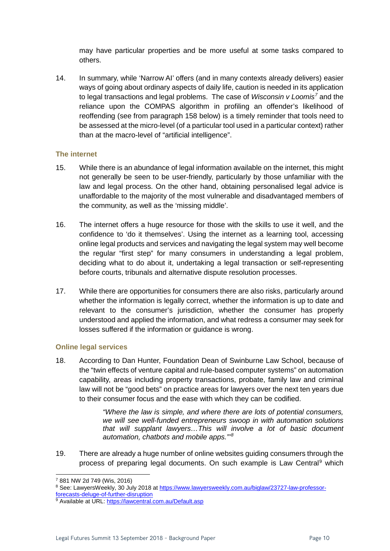may have particular properties and be more useful at some tasks compared to others.

14. In summary, while 'Narrow AI' offers (and in many contexts already delivers) easier ways of going about ordinary aspects of daily life, caution is needed in its application to legal transactions and legal problems. The case of *Wisconsin v Loomis[7](#page-9-0)* and the reliance upon the COMPAS algorithm in profiling an offender's likelihood of reoffending (see from paragraph 158 below) is a timely reminder that tools need to be assessed at the micro-level (of a particular tool used in a particular context) rather than at the macro-level of "artificial intelligence".

#### **The internet**

- 15. While there is an abundance of legal information available on the internet, this might not generally be seen to be user-friendly, particularly by those unfamiliar with the law and legal process. On the other hand, obtaining personalised legal advice is unaffordable to the majority of the most vulnerable and disadvantaged members of the community, as well as the 'missing middle'.
- 16. The internet offers a huge resource for those with the skills to use it well, and the confidence to 'do it themselves'. Using the internet as a learning tool, accessing online legal products and services and navigating the legal system may well become the regular "first step" for many consumers in understanding a legal problem, deciding what to do about it, undertaking a legal transaction or self-representing before courts, tribunals and alternative dispute resolution processes.
- 17. While there are opportunities for consumers there are also risks, particularly around whether the information is legally correct, whether the information is up to date and relevant to the consumer's jurisdiction, whether the consumer has properly understood and applied the information, and what redress a consumer may seek for losses suffered if the information or guidance is wrong.

#### **Online legal services**

18. According to Dan Hunter, Foundation Dean of Swinburne Law School, because of the "twin effects of venture capital and rule-based computer systems" on automation capability, areas including property transactions, probate, family law and criminal law will not be "good bets" on practice areas for lawyers over the next ten years due to their consumer focus and the ease with which they can be codified.

> *"Where the law is simple, and where there are lots of potential consumers, we will see well-funded entrepreneurs swoop in with automation solutions that will supplant lawyers…This will involve a lot of basic document automation, chatbots and mobile apps."'[8](#page-9-1)*

19. There are already a huge number of online websites guiding consumers through the process of preparing legal documents. On such example is Law Central[9](#page-9-2) which

 <sup>7</sup> 881 NW 2d 749 (Wis, 2016)

<span id="page-9-1"></span><span id="page-9-0"></span><sup>&</sup>lt;sup>8</sup> See: LawyersWeekly, 30 July 2018 a[t https://www.lawyersweekly.com.au/biglaw/23727-law-professor](https://www.lawyersweekly.com.au/biglaw/23727-law-professor-forecasts-deluge-of-further-disruption)[forecasts-deluge-of-further-disruption](https://www.lawyersweekly.com.au/biglaw/23727-law-professor-forecasts-deluge-of-further-disruption)

<span id="page-9-2"></span><sup>9</sup> Available at URL:<https://lawcentral.com.au/Default.asp>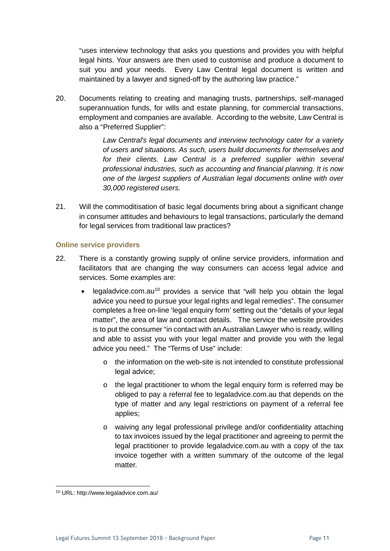"uses interview technology that asks you questions and provides you with helpful legal hints. Your answers are then used to customise and produce a document to suit you and your needs. Every Law Central legal document is written and maintained by a lawyer and signed-off by the authoring law practice."

20. Documents relating to creating and managing trusts, partnerships, self-managed superannuation funds, for wills and estate planning, for commercial transactions, employment and companies are available. According to the website, Law Central is also a "Preferred Supplier":

> *Law Central's legal documents and interview technology cater for a variety of users and situations. As such, users build documents for themselves and*  for their clients. Law Central is a preferred supplier within several *professional industries, such as accounting and financial planning. It is now one of the largest suppliers of Australian legal documents online with over 30,000 registered users.*

21. Will the commoditisation of basic legal documents bring about a significant change in consumer attitudes and behaviours to legal transactions, particularly the demand for legal services from traditional law practices?

#### **Online service providers**

- 22. There is a constantly growing supply of online service providers, information and facilitators that are changing the way consumers can access legal advice and services. Some examples are:
	- $\alpha$  legaladvice.com.au<sup>10</sup> provides a service that "will help you obtain the legal advice you need to pursue your legal rights and legal remedies". The consumer completes a free on-line 'legal enquiry form' setting out the "details of your legal matter", the area of law and contact details. The service the website provides is to put the consumer "in contact with an Australian Lawyer who is ready, willing and able to assist you with your legal matter and provide you with the legal advice you need." The "Terms of Use" include:
		- o the information on the web-site is not intended to constitute professional legal advice;
		- o the legal practitioner to whom the legal enquiry form is referred may be obliged to pay a referral fee to legaladvice.com.au that depends on the type of matter and any legal restrictions on payment of a referral fee applies;
		- o waiving any legal professional privilege and/or confidentiality attaching to tax invoices issued by the legal practitioner and agreeing to permit the legal practitioner to provide legaladvice.com.au with a copy of the tax invoice together with a written summary of the outcome of the legal matter.

<span id="page-10-0"></span> <sup>10</sup> URL: http://www.legaladvice.com.au/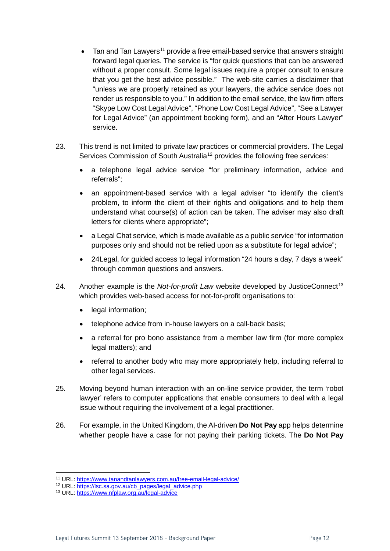- Tan and Tan Lawyers<sup>[11](#page-11-0)</sup> provide a free email-based service that answers straight forward legal queries. The service is "for quick questions that can be answered without a proper consult. Some legal issues require a proper consult to ensure that you get the best advice possible." The web-site carries a disclaimer that "unless we are properly retained as your lawyers, the advice service does not render us responsible to you." In addition to the email service, the law firm offers "Skype Low Cost Legal Advice", "Phone Low Cost Legal Advice", "See a Lawyer for Legal Advice" (an appointment booking form), and an "After Hours Lawyer" service.
- 23. This trend is not limited to private law practices or commercial providers. The Legal Services Commission of South Australia<sup>[12](#page-11-1)</sup> provides the following free services:
	- a telephone legal advice service "for preliminary information, advice and referrals";
	- an appointment-based service with a legal adviser "to identify the client's problem, to inform the client of their rights and obligations and to help them understand what course(s) of action can be taken. The adviser may also draft letters for clients where appropriate";
	- a Legal Chat service, which is made available as a public service "for information purposes only and should not be relied upon as a substitute for legal advice";
	- 24Legal, for guided access to legal information "24 hours a day, 7 days a week" through common questions and answers.
- 24. Another example is the *Not-for-profit Law* website developed by JusticeConnect<sup>[13](#page-11-2)</sup> which provides web-based access for not-for-profit organisations to:
	- legal information;
	- telephone advice from in-house lawyers on a call-back basis;
	- a referral for pro bono assistance from a member law firm (for more complex legal matters); and
	- referral to another body who may more appropriately help, including referral to [other legal services.](https://www.nfplaw.org.au/are-you-eligible-for-legal-assistance)
- 25. Moving beyond human interaction with an on-line service provider, the term 'robot lawyer' refers to computer applications that enable consumers to deal with a legal issue without requiring the involvement of a legal practitioner.
- 26. For example, in the United Kingdom, the AI-driven **Do Not Pay** app helps determine whether people have a case for not paying their parking tickets. The **Do Not Pay**

<span id="page-11-0"></span> <sup>11</sup> URL:<https://www.tanandtanlawyers.com.au/free-email-legal-advice/>

<span id="page-11-1"></span><sup>12</sup> URL: [https://lsc.sa.gov.au/cb\\_pages/legal\\_advice.php](https://lsc.sa.gov.au/cb_pages/legal_advice.php)

<span id="page-11-2"></span><sup>13</sup> URL:<https://www.nfplaw.org.au/legal-advice>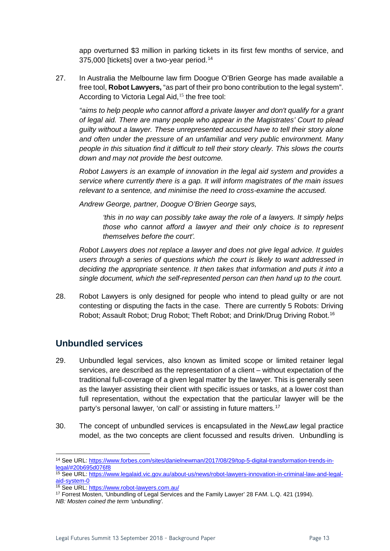app overturned \$3 million in parking tickets in its first few months of service, and 375,000 [tickets] over a two-year period.<sup>[14](#page-12-1)</sup>

27. In Australia the Melbourne law firm Doogue O'Brien George has made available a free tool, **Robot Lawyers,** "as part of their pro bono contribution to the legal system". According to Victoria Legal Aid,<sup>[15](#page-12-2)</sup> the free tool:

*"aims to help people who cannot afford a private lawyer and don't qualify for a grant of legal aid. There are many people who appear in the Magistrates' Court to plead guilty without a lawyer. These unrepresented accused have to tell their story alone and often under the pressure of an unfamiliar and very public environment. Many people in this situation find it difficult to tell their story clearly. This slows the courts down and may not provide the best outcome.*

*Robot Lawyers is an example of innovation in the legal aid system and provides a service where currently there is a gap. It will inform magistrates of the main issues relevant to a sentence, and minimise the need to cross-examine the accused.*

*Andrew George, partner, Doogue O'Brien George says,*

*'this in no way can possibly take away the role of a lawyers. It simply helps those who cannot afford a lawyer and their only choice is to represent themselves before the court'.*

*Robot Lawyers does not replace a lawyer and does not give legal advice. It guides users through a series of questions which the court is likely to want addressed in deciding the appropriate sentence. It then takes that information and puts it into a single document, which the self-represented person can then hand up to the court.*

28. Robot Lawyers is only designed for people who intend to plead guilty or are not contesting or disputing the facts in the case. There are currently 5 Robots: Driving Robot; Assault Robot; Drug Robot; Theft Robot; and Drink/Drug Driving Robot.[16](#page-12-3)

# <span id="page-12-0"></span>**Unbundled services**

- 29. Unbundled legal services, also known as limited scope or limited retainer legal services, are described as the representation of a client – without expectation of the traditional full-coverage of a given legal matter by the lawyer. This is generally seen as the lawyer assisting their client with specific issues or tasks, at a lower cost than full representation, without the expectation that the particular lawyer will be the party's personal lawyer, 'on call' or assisting in future matters.<sup>[17](#page-12-4)</sup>
- 30. The concept of unbundled services is encapsulated in the *NewLaw* legal practice model, as the two concepts are client focussed and results driven. Unbundling is

<span id="page-12-1"></span> <sup>14</sup> See URL[: https://www.forbes.com/sites/danielnewman/2017/08/29/top-5-digital-transformation-trends-in](https://www.forbes.com/sites/danielnewman/2017/08/29/top-5-digital-transformation-trends-in-legal/#20b695d076f8)[legal/#20b695d076f8](https://www.forbes.com/sites/danielnewman/2017/08/29/top-5-digital-transformation-trends-in-legal/#20b695d076f8)

<span id="page-12-2"></span><sup>15</sup> See URL[: https://www.legalaid.vic.gov.au/about-us/news/robot-lawyers-innovation-in-criminal-law-and-legal](https://www.legalaid.vic.gov.au/about-us/news/robot-lawyers-innovation-in-criminal-law-and-legal-aid-system-0)[aid-system-0](https://www.legalaid.vic.gov.au/about-us/news/robot-lawyers-innovation-in-criminal-law-and-legal-aid-system-0)

<span id="page-12-3"></span><sup>16</sup> See URL[: https://www.robot-lawyers.com.au/](https://www.robot-lawyers.com.au/)

<span id="page-12-4"></span><sup>17</sup> Forrest Mosten, 'Unbundling of Legal Services and the Family Lawyer' 28 FAM. L.Q. 421 (1994).

*NB: Mosten coined the term 'unbundling'.*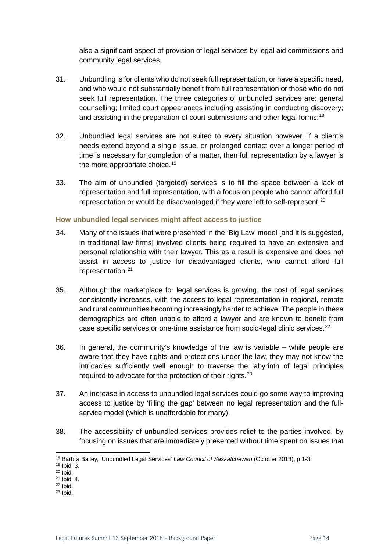also a significant aspect of provision of legal services by legal aid commissions and community legal services.

- 31. Unbundling is for clients who do not seek full representation, or have a specific need, and who would not substantially benefit from full representation or those who do not seek full representation. The three categories of unbundled services are: general counselling; limited court appearances including assisting in conducting discovery; and assisting in the preparation of court submissions and other legal forms.<sup>[18](#page-13-0)</sup>
- 32. Unbundled legal services are not suited to every situation however, if a client's needs extend beyond a single issue, or prolonged contact over a longer period of time is necessary for completion of a matter, then full representation by a lawyer is the more appropriate choice.<sup>[19](#page-13-1)</sup>
- 33. The aim of unbundled (targeted) services is to fill the space between a lack of representation and full representation, with a focus on people who cannot afford full representation or would be disadvantaged if they were left to self-represent.<sup>[20](#page-13-2)</sup>

#### **How unbundled legal services might affect access to justice**

- 34. Many of the issues that were presented in the 'Big Law' model [and it is suggested, in traditional law firms] involved clients being required to have an extensive and personal relationship with their lawyer. This as a result is expensive and does not assist in access to justice for disadvantaged clients, who cannot afford full representation.<sup>[21](#page-13-3)</sup>
- 35. Although the marketplace for legal services is growing, the cost of legal services consistently increases, with the access to legal representation in regional, remote and rural communities becoming increasingly harder to achieve. The people in these demographics are often unable to afford a lawyer and are known to benefit from case specific services or one-time assistance from socio-legal clinic services.<sup>[22](#page-13-4)</sup>
- 36. In general, the community's knowledge of the law is variable while people are aware that they have rights and protections under the law, they may not know the intricacies sufficiently well enough to traverse the labyrinth of legal principles required to advocate for the protection of their rights.<sup>[23](#page-13-5)</sup>
- 37. An increase in access to unbundled legal services could go some way to improving access to justice by 'filling the gap' between no legal representation and the fullservice model (which is unaffordable for many).
- 38. The accessibility of unbundled services provides relief to the parties involved, by focusing on issues that are immediately presented without time spent on issues that

<span id="page-13-0"></span> <sup>18</sup> Barbra Bailey*,* 'Unbundled Legal Services' *Law Council of Saskatchewan* (October 2013), p 1-3.

<span id="page-13-1"></span><sup>19</sup> Ibid, 3.

 $20$  Ibid.

<span id="page-13-3"></span><span id="page-13-2"></span> $21$  Ibid, 4.  $22$  Ibid.

<span id="page-13-5"></span><span id="page-13-4"></span> $23$  Ibid.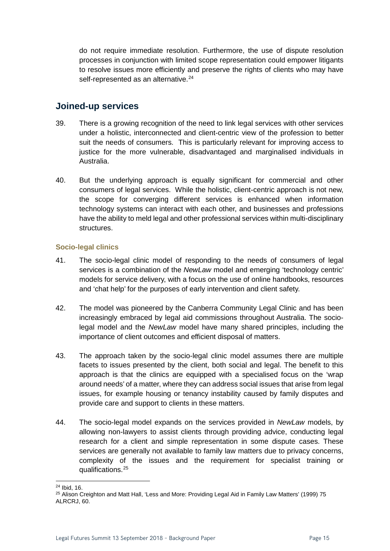do not require immediate resolution. Furthermore, the use of dispute resolution processes in conjunction with limited scope representation could empower litigants to resolve issues more efficiently and preserve the rights of clients who may have self-represented as an alternative.<sup>[24](#page-14-1)</sup>

### <span id="page-14-0"></span>**Joined-up services**

- 39. There is a growing recognition of the need to link legal services with other services under a holistic, interconnected and client-centric view of the profession to better suit the needs of consumers. This is particularly relevant for improving access to justice for the more vulnerable, disadvantaged and marginalised individuals in Australia.
- 40. But the underlying approach is equally significant for commercial and other consumers of legal services. While the holistic, client-centric approach is not new, the scope for converging different services is enhanced when information technology systems can interact with each other, and businesses and professions have the ability to meld legal and other professional services within multi-disciplinary structures.

#### **Socio-legal clinics**

- 41. The socio-legal clinic model of responding to the needs of consumers of legal services is a combination of the *NewLaw* model and emerging 'technology centric' models for service delivery, with a focus on the use of online handbooks, resources and 'chat help' for the purposes of early intervention and client safety.
- 42. The model was pioneered by the Canberra Community Legal Clinic and has been increasingly embraced by legal aid commissions throughout Australia. The sociolegal model and the *NewLaw* model have many shared principles, including the importance of client outcomes and efficient disposal of matters.
- 43. The approach taken by the socio-legal clinic model assumes there are multiple facets to issues presented by the client, both social and legal. The benefit to this approach is that the clinics are equipped with a specialised focus on the 'wrap around needs' of a matter, where they can address social issues that arise from legal issues, for example housing or tenancy instability caused by family disputes and provide care and support to clients in these matters.
- 44. The socio-legal model expands on the services provided in *NewLaw* models, by allowing non-lawyers to assist clients through providing advice, conducting legal research for a client and simple representation in some dispute cases. These services are generally not available to family law matters due to privacy concerns, complexity of the issues and the requirement for specialist training or qualifications.[25](#page-14-2)

<span id="page-14-1"></span> <sup>24</sup> Ibid, 16.

<span id="page-14-2"></span><sup>&</sup>lt;sup>25</sup> Alison Creighton and Matt Hall, 'Less and More: Providing Legal Aid in Family Law Matters' (1999) 75 ALRCRJ, 60.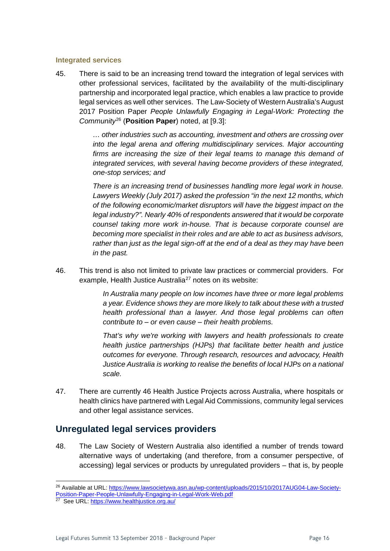#### **Integrated services**

45. There is said to be an increasing trend toward the integration of legal services with other professional services, facilitated by the availability of the multi-disciplinary partnership and incorporated legal practice, which enables a law practice to provide legal services as well other services. The Law-Society of Western Australia's August 2017 Position Paper *People Unlawfully Engaging in Legal-Work: Protecting the Community*[26](#page-15-1) (**Position Paper**) noted, at [9.3]:

> *… other industries such as accounting, investment and others are crossing over into the legal arena and offering multidisciplinary services. Major accounting firms are increasing the size of their legal teams to manage this demand of integrated services, with several having become providers of these integrated, one-stop services; and*

> *There is an increasing trend of businesses handling more legal work in house. Lawyers Weekly (July 2017) asked the profession "in the next 12 months, which of the following economic/market disruptors will have the biggest impact on the legal industry?". Nearly 40% of respondents answered that it would be corporate counsel taking more work in-house. That is because corporate counsel are becoming more specialist in their roles and are able to act as business advisors, rather than just as the legal sign-off at the end of a deal as they may have been in the past.*

46. This trend is also not limited to private law practices or commercial providers. For example, Health Justice Australia<sup>[27](#page-15-2)</sup> notes on its website:

> *In Australia many people on low incomes have three or more legal problems a year. Evidence shows they are more likely to talk about these with a trusted health professional than a lawyer. And those legal problems can often contribute to ‒ or even cause ‒ their health problems.*

> *That's why we're working with lawyers and health professionals to create health justice partnerships (HJPs) that facilitate better health and justice outcomes for everyone. Through research, resources and advocacy, Health Justice Australia is working to realise the benefits of local HJPs on a national scale.*

47. There are currently 46 Health Justice Projects across Australia, where hospitals or health clinics have partnered with Legal Aid Commissions, community legal services and other legal assistance services.

# <span id="page-15-0"></span>**Unregulated legal services providers**

48. The Law Society of Western Australia also identified a number of trends toward alternative ways of undertaking (and therefore, from a consumer perspective, of accessing) legal services or products by unregulated providers – that is, by people

<span id="page-15-1"></span><sup>&</sup>lt;sup>26</sup> Available at URL: [https://www.lawsocietywa.asn.au/wp-content/uploads/2015/10/2017AUG04-Law-Society-](https://www.lawsocietywa.asn.au/wp-content/uploads/2015/10/2017AUG04-Law-Society-Position-Paper-People-Unlawfully-Engaging-in-Legal-Work-Web.pdf)[Position-Paper-People-Unlawfully-Engaging-in-Legal-Work-Web.pdf](https://www.lawsocietywa.asn.au/wp-content/uploads/2015/10/2017AUG04-Law-Society-Position-Paper-People-Unlawfully-Engaging-in-Legal-Work-Web.pdf)

<span id="page-15-2"></span><sup>&</sup>lt;sup>27</sup> See URL:<https://www.healthjustice.org.au/>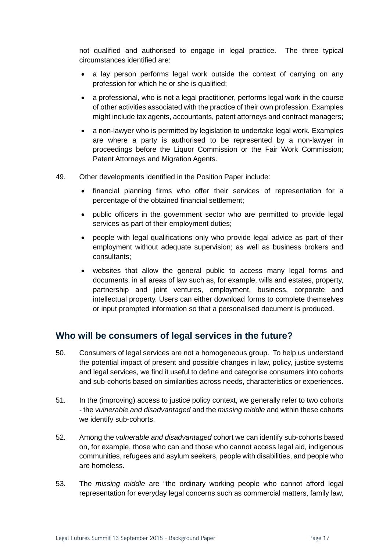not qualified and authorised to engage in legal practice. The three typical circumstances identified are:

- a lay person performs legal work outside the context of carrying on any profession for which he or she is qualified;
- a professional, who is not a legal practitioner, performs legal work in the course of other activities associated with the practice of their own profession. Examples might include tax agents, accountants, patent attorneys and contract managers;
- a non-lawyer who is permitted by legislation to undertake legal work. Examples are where a party is authorised to be represented by a non-lawyer in proceedings before the Liquor Commission or the Fair Work Commission; Patent Attorneys and Migration Agents.
- 49. Other developments identified in the Position Paper include:
	- financial planning firms who offer their services of representation for a percentage of the obtained financial settlement;
	- public officers in the government sector who are permitted to provide legal services as part of their employment duties;
	- people with legal qualifications only who provide legal advice as part of their employment without adequate supervision; as well as business brokers and consultants;
	- websites that allow the general public to access many legal forms and documents, in all areas of law such as, for example, wills and estates, property, partnership and joint ventures, employment, business, corporate and intellectual property. Users can either download forms to complete themselves or input prompted information so that a personalised document is produced.

# <span id="page-16-0"></span>**Who will be consumers of legal services in the future?**

- 50. Consumers of legal services are not a homogeneous group. To help us understand the potential impact of present and possible changes in law, policy, justice systems and legal services, we find it useful to define and categorise consumers into cohorts and sub-cohorts based on similarities across needs, characteristics or experiences.
- 51. In the (improving) access to justice policy context, we generally refer to two cohorts - the *vulnerable and disadvantaged* and the *missing middle* and within these cohorts we identify sub-cohorts.
- 52. Among the *vulnerable and disadvantaged* cohort we can identify sub-cohorts based on, for example, those who can and those who cannot access legal aid, indigenous communities, refugees and asylum seekers, people with disabilities, and people who are homeless.
- 53. The *missing middle* are "the ordinary working people who cannot afford legal representation for everyday legal concerns such as commercial matters, family law,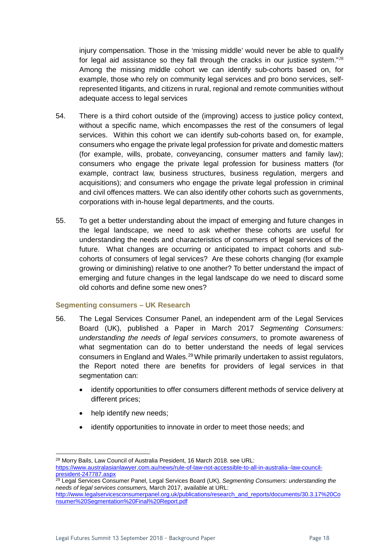injury compensation. Those in the 'missing middle' would never be able to qualify for legal aid assistance so they fall through the cracks in our justice system." $28$ Among the missing middle cohort we can identify sub-cohorts based on, for example, those who rely on community legal services and pro bono services, selfrepresented litigants, and citizens in rural, regional and remote communities without adequate access to legal services

- 54. There is a third cohort outside of the (improving) access to justice policy context, without a specific name, which encompasses the rest of the consumers of legal services. Within this cohort we can identify sub-cohorts based on, for example, consumers who engage the private legal profession for private and domestic matters (for example, wills, probate, conveyancing, consumer matters and family law); consumers who engage the private legal profession for business matters (for example, contract law, business structures, business regulation, mergers and acquisitions); and consumers who engage the private legal profession in criminal and civil offences matters. We can also identify other cohorts such as governments, corporations with in-house legal departments, and the courts.
- 55. To get a better understanding about the impact of emerging and future changes in the legal landscape, we need to ask whether these cohorts are useful for understanding the needs and characteristics of consumers of legal services of the future. What changes are occurring or anticipated to impact cohorts and subcohorts of consumers of legal services? Are these cohorts changing (for example growing or diminishing) relative to one another? To better understand the impact of emerging and future changes in the legal landscape do we need to discard some old cohorts and define some new ones?

#### **Segmenting consumers – UK Research**

- 56. The Legal Services Consumer Panel, an independent arm of the Legal Services Board (UK), published a Paper in March 2017 *Segmenting Consumers: understanding the needs of legal services consumers*, to promote awareness of what segmentation can do to better understand the needs of legal services consumers in England and Wales.<sup>[29](#page-17-1)</sup> While primarily undertaken to assist regulators, the Report noted there are benefits for providers of legal services in that segmentation can:
	- identify opportunities to offer consumers different methods of service delivery at different prices;
	- help identify new needs;
	- identify opportunities to innovate in order to meet those needs; and

<span id="page-17-0"></span> <sup>28</sup> Morry Bails, Law Council of Australia President, 16 March 2018. see URL: [https://www.australasianlawyer.com.au/news/rule-of-law-not-accessible-to-all-in-australia--law-council](https://www.australasianlawyer.com.au/news/rule-of-law-not-accessible-to-all-in-australia--law-council-president-247787.aspx)[president-247787.aspx](https://www.australasianlawyer.com.au/news/rule-of-law-not-accessible-to-all-in-australia--law-council-president-247787.aspx)

<span id="page-17-1"></span><sup>29</sup> Legal Services Consumer Panel, Legal Services Board (UK), *Segmenting Consumers: understanding the needs of legal services consumers,* March 2017, available at URL:

[http://www.legalservicesconsumerpanel.org.uk/publications/research\\_and\\_reports/documents/30.3.17%20Co](http://www.legalservicesconsumerpanel.org.uk/publications/research_and_reports/documents/30.3.17%20Consumer%20Segmentation%20Final%20Report.pdf) [nsumer%20Segmentation%20Final%20Report.pdf](http://www.legalservicesconsumerpanel.org.uk/publications/research_and_reports/documents/30.3.17%20Consumer%20Segmentation%20Final%20Report.pdf)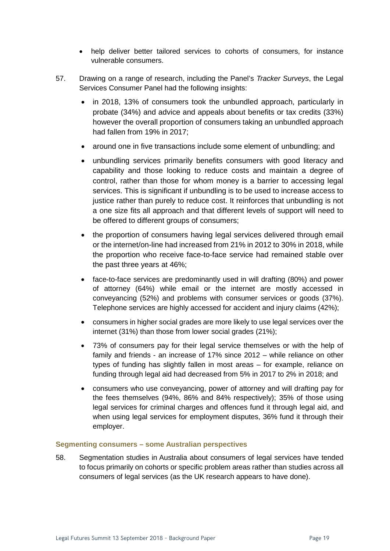- help deliver better tailored services to cohorts of consumers, for instance vulnerable consumers.
- 57. Drawing on a range of research, including the Panel's *Tracker Surveys*, the Legal Services Consumer Panel had the following insights:
	- in 2018, 13% of consumers took the unbundled approach, particularly in probate (34%) and advice and appeals about benefits or tax credits (33%) however the overall proportion of consumers taking an unbundled approach had fallen from 19% in 2017;
	- around one in five transactions include some element of unbundling; and
	- unbundling services primarily benefits consumers with good literacy and capability and those looking to reduce costs and maintain a degree of control, rather than those for whom money is a barrier to accessing legal services. This is significant if unbundling is to be used to increase access to justice rather than purely to reduce cost. It reinforces that unbundling is not a one size fits all approach and that different levels of support will need to be offered to different groups of consumers;
	- the proportion of consumers having legal services delivered through email or the internet/on-line had increased from 21% in 2012 to 30% in 2018, while the proportion who receive face-to-face service had remained stable over the past three years at 46%;
	- face-to-face services are predominantly used in will drafting (80%) and power of attorney (64%) while email or the internet are mostly accessed in conveyancing (52%) and problems with consumer services or goods (37%). Telephone services are highly accessed for accident and injury claims (42%);
	- consumers in higher social grades are more likely to use legal services over the internet (31%) than those from lower social grades (21%);
	- 73% of consumers pay for their legal service themselves or with the help of family and friends - an increase of 17% since 2012 – while reliance on other types of funding has slightly fallen in most areas – for example, reliance on funding through legal aid had decreased from 5% in 2017 to 2% in 2018; and
	- consumers who use conveyancing, power of attorney and will drafting pay for the fees themselves (94%, 86% and 84% respectively); 35% of those using legal services for criminal charges and offences fund it through legal aid, and when using legal services for employment disputes, 36% fund it through their employer.

#### **Segmenting consumers – some Australian perspectives**

58. Segmentation studies in Australia about consumers of legal services have tended to focus primarily on cohorts or specific problem areas rather than studies across all consumers of legal services (as the UK research appears to have done).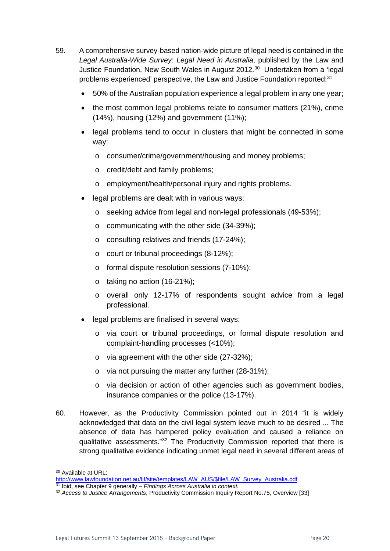- 59. A comprehensive survey-based nation-wide picture of legal need is contained in the *Legal Australia-Wide Survey: Legal Need in Australia*, published by the Law and Justice Foundation, New South Wales in August 2012. [30](#page-19-0) Undertaken from a 'legal problems experienced' perspective, the Law and Justice Foundation reported:<sup>[31](#page-19-1)</sup>
	- 50% of the Australian population experience a legal problem in any one year;
	- the most common legal problems relate to consumer matters (21%), crime (14%), housing (12%) and government (11%);
	- legal problems tend to occur in clusters that might be connected in some way:
		- o consumer/crime/government/housing and money problems;
		- o credit/debt and family problems;
		- o employment/health/personal injury and rights problems.
	- legal problems are dealt with in various ways:
		- o seeking advice from legal and non-legal professionals (49-53%);
		- o communicating with the other side (34-39%);
		- o consulting relatives and friends (17-24%);
		- o court or tribunal proceedings (8-12%);
		- o formal dispute resolution sessions (7-10%);
		- o taking no action (16-21%);
		- o overall only 12-17% of respondents sought advice from a legal professional.
	- legal problems are finalised in several ways:
		- o via court or tribunal proceedings, or formal dispute resolution and complaint-handling processes (<10%);
		- o via agreement with the other side (27-32%);
		- o via not pursuing the matter any further (28-31%);
		- $\circ$  via decision or action of other agencies such as government bodies, insurance companies or the police (13-17%).
- 60. However, as the Productivity Commission pointed out in 2014 "it is widely acknowledged that data on the civil legal system leave much to be desired ... The absence of data has hampered policy evaluation and caused a reliance on qualitative assessments."[32](#page-19-2) The Productivity Commission reported that there is strong qualitative evidence indicating unmet legal need in several different areas of

<span id="page-19-0"></span><sup>&</sup>lt;sup>30</sup> Available at URL:

[http://www.lawfoundation.net.au/ljf/site/templates/LAW\\_AUS/\\$file/LAW\\_Survey\\_Australia.pdf](http://www.lawfoundation.net.au/ljf/site/templates/LAW_AUS/$file/LAW_Survey_Australia.pdf)

<span id="page-19-1"></span><sup>31</sup> Ibid, see Chapter 9 generally – *Findings Across Australia in context.*

<span id="page-19-2"></span><sup>32</sup> *Access to Justice Arrangements*, Productivity Commission Inquiry Report No.75, Overview [33]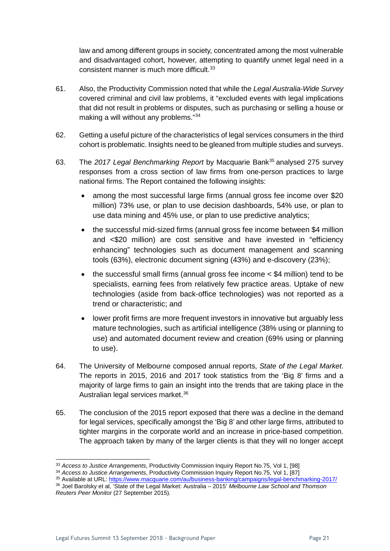law and among different groups in society, concentrated among the most vulnerable and disadvantaged cohort, however, attempting to quantify unmet legal need in a consistent manner is much more difficult.<sup>[33](#page-20-0)</sup>

- 61. Also, the Productivity Commission noted that while the *Legal Australia-Wide Survey* covered criminal and civil law problems, it "excluded events with legal implications that did not result in problems or disputes, such as purchasing or selling a house or making a will without any problems."[34](#page-20-1)
- 62. Getting a useful picture of the characteristics of legal services consumers in the third cohort is problematic. Insights need to be gleaned from multiple studies and surveys.
- 63. The *2017 Legal Benchmarking Report* by Macquarie Bank[35](#page-20-2) analysed 275 survey responses from a cross section of law firms from one-person practices to large national firms. The Report contained the following insights:
	- among the most successful large firms (annual gross fee income over \$20 million) 73% use, or plan to use decision dashboards, 54% use, or plan to use data mining and 45% use, or plan to use predictive analytics;
	- the successful mid-sized firms (annual gross fee income between \$4 million and <\$20 million) are cost sensitive and have invested in "efficiency enhancing" technologies such as document management and scanning tools (63%), electronic document signing (43%) and e-discovery (23%);
	- the successful small firms (annual gross fee income  $<$  \$4 million) tend to be specialists, earning fees from relatively few practice areas. Uptake of new technologies (aside from back-office technologies) was not reported as a trend or characteristic; and
	- lower profit firms are more frequent investors in innovative but arguably less mature technologies, such as artificial intelligence (38% using or planning to use) and automated document review and creation (69% using or planning to use).
- 64. The University of Melbourne composed annual reports, *State of the Legal Market*. The reports in 2015, 2016 and 2017 took statistics from the 'Big 8' firms and a majority of large firms to gain an insight into the trends that are taking place in the Australian legal services market.[36](#page-20-3)
- 65. The conclusion of the 2015 report exposed that there was a decline in the demand for legal services, specifically amongst the 'Big 8' and other large firms, attributed to tighter margins in the corporate world and an increase in price-based competition. The approach taken by many of the larger clients is that they will no longer accept

<span id="page-20-0"></span> <sup>33</sup> *Access to Justice Arrangements*, Productivity Commission Inquiry Report No.75, Vol 1, [98]

<span id="page-20-1"></span><sup>34</sup> *Access to Justice Arrangements*, Productivity Commission Inquiry Report No.75, Vol 1, [87]

<sup>35</sup> Available at URL:<https://www.macquarie.com/au/business-banking/campaigns/legal-benchmarking-2017/>

<span id="page-20-3"></span><span id="page-20-2"></span><sup>36</sup> Joel Barolsky et al, 'State of the Legal Market: Australia – 2015' *Melbourne Law School and Thomson Reuters Peer Monitor* (27 September 2015)*.*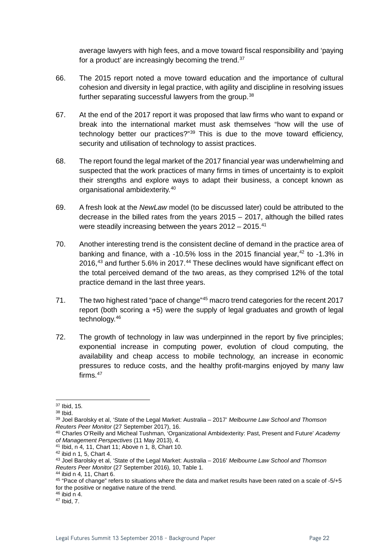average lawyers with high fees, and a move toward fiscal responsibility and 'paying for a product' are increasingly becoming the trend.<sup>[37](#page-21-0)</sup>

- 66. The 2015 report noted a move toward education and the importance of cultural cohesion and diversity in legal practice, with agility and discipline in resolving issues further separating successful lawyers from the group.<sup>[38](#page-21-1)</sup>
- 67. At the end of the 2017 report it was proposed that law firms who want to expand or break into the international market must ask themselves "how will the use of technology better our practices?"[39](#page-21-2) This is due to the move toward efficiency, security and utilisation of technology to assist practices.
- 68. The report found the legal market of the 2017 financial year was underwhelming and suspected that the work practices of many firms in times of uncertainty is to exploit their strengths and explore ways to adapt their business, a concept known as organisational ambidexterity.[40](#page-21-3)
- 69. A fresh look at the *NewLaw* model (to be discussed later) could be attributed to the decrease in the billed rates from the years 2015 – 2017, although the billed rates were steadily increasing between the years  $2012 - 2015$ .<sup>[41](#page-21-4)</sup>
- 70. Another interesting trend is the consistent decline of demand in the practice area of banking and finance, with a -10.5% loss in the 2015 financial year, $42$  to -1.3% in 2016,<sup>[43](#page-21-6)</sup> and further 5.6% in 2017.<sup>[44](#page-21-7)</sup> These declines would have significant effect on the total perceived demand of the two areas, as they comprised 12% of the total practice demand in the last three years.
- 71. The two highest rated "pace of change"[45](#page-21-8) macro trend categories for the recent 2017 report (both scoring a +5) were the supply of legal graduates and growth of legal technology.[46](#page-21-9)
- 72. The growth of technology in law was underpinned in the report by five principles; exponential increase in computing power, evolution of cloud computing, the availability and cheap access to mobile technology, an increase in economic pressures to reduce costs, and the healthy profit-margins enjoyed by many law firms[.47](#page-21-10)

<span id="page-21-0"></span> <sup>37</sup> Ibid, <sup>15</sup>*.*

<span id="page-21-1"></span><sup>38</sup> Ibid.

<span id="page-21-2"></span><sup>39</sup> Joel Barolsky et al, 'State of the Legal Market: Australia – 2017' *Melbourne Law School and Thomson Reuters Peer Monitor* (27 September 2017), 16.

<span id="page-21-3"></span><sup>40</sup> Charles O'Reilly and Micheal Tushman, 'Organizational Ambidexterity: Past, Present and Future' *Academy of Management Perspectives* (11 May 2013), 4.

<span id="page-21-4"></span><sup>41</sup> Ibid, n 4*,* 11, Chart 11; Above n 1*,* 8, Chart 10.

<span id="page-21-5"></span><sup>42</sup> ibid n 1*,* 5, Chart 4.

<span id="page-21-6"></span><sup>43</sup> Joel Barolsky et al, 'State of the Legal Market: Australia – 2016' *Melbourne Law School and Thomson Reuters Peer Monitor* (27 September 2016)*,* 10, Table 1.

<span id="page-21-7"></span><sup>44</sup> ibid n 4*,* 11, Chart 6.

<span id="page-21-8"></span><sup>45</sup> "Pace of change" refers to situations where the data and market results have been rated on a scale of -5/+5 for the positive or negative nature of the trend.

 $46$  ibid n 4.

<span id="page-21-10"></span><span id="page-21-9"></span><sup>47</sup> Ibid, 7.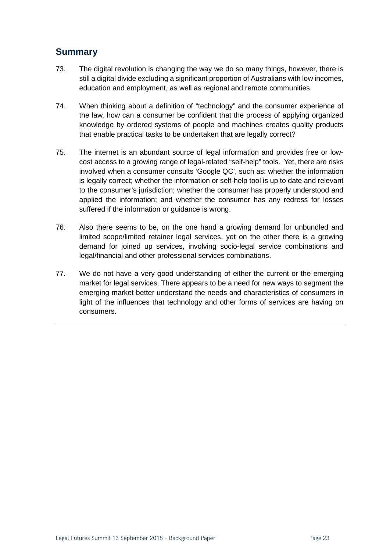# <span id="page-22-0"></span>**Summary**

- 73. The digital revolution is changing the way we do so many things, however, there is still a digital divide excluding a significant proportion of Australians with low incomes, education and employment, as well as regional and remote communities.
- 74. When thinking about a definition of "technology" and the consumer experience of the law, how can a consumer be confident that the process of applying organized knowledge by ordered systems of people and machines creates quality products that enable practical tasks to be undertaken that are legally correct?
- 75. The internet is an abundant source of legal information and provides free or lowcost access to a growing range of legal-related "self-help" tools. Yet, there are risks involved when a consumer consults 'Google QC', such as: whether the information is legally correct; whether the information or self-help tool is up to date and relevant to the consumer's jurisdiction; whether the consumer has properly understood and applied the information; and whether the consumer has any redress for losses suffered if the information or guidance is wrong.
- 76. Also there seems to be, on the one hand a growing demand for unbundled and limited scope/limited retainer legal services, yet on the other there is a growing demand for joined up services, involving socio-legal service combinations and legal/financial and other professional services combinations.
- 77. We do not have a very good understanding of either the current or the emerging market for legal services. There appears to be a need for new ways to segment the emerging market better understand the needs and characteristics of consumers in light of the influences that technology and other forms of services are having on consumers.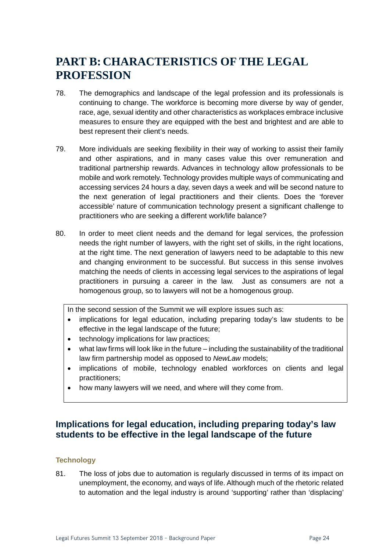# <span id="page-23-0"></span>**PART B: CHARACTERISTICS OF THE LEGAL PROFESSION**

- 78. The demographics and landscape of the legal profession and its professionals is continuing to change. The workforce is becoming more diverse by way of gender, race, age, sexual identity and other characteristics as workplaces embrace inclusive measures to ensure they are equipped with the best and brightest and are able to best represent their client's needs.
- 79. More individuals are seeking flexibility in their way of working to assist their family and other aspirations, and in many cases value this over remuneration and traditional partnership rewards. Advances in technology allow professionals to be mobile and work remotely. Technology provides multiple ways of communicating and accessing services 24 hours a day, seven days a week and will be second nature to the next generation of legal practitioners and their clients. Does the 'forever accessible' nature of communication technology present a significant challenge to practitioners who are seeking a different work/life balance?
- 80. In order to meet client needs and the demand for legal services, the profession needs the right number of lawyers, with the right set of skills, in the right locations, at the right time. The next generation of lawyers need to be adaptable to this new and changing environment to be successful. But success in this sense involves matching the needs of clients in accessing legal services to the aspirations of legal practitioners in pursuing a career in the law. Just as consumers are not a homogenous group, so to lawyers will not be a homogenous group.

In the second session of the Summit we will explore issues such as:

- implications for legal education, including preparing today's law students to be effective in the legal landscape of the future;
- technology implications for law practices;
- what law firms will look like in the future including the sustainability of the traditional law firm partnership model as opposed to *NewLaw* models;
- implications of mobile, technology enabled workforces on clients and legal practitioners;
- how many lawyers will we need, and where will they come from.

# <span id="page-23-1"></span>**Implications for legal education, including preparing today's law students to be effective in the legal landscape of the future**

#### **Technology**

81. The loss of jobs due to automation is regularly discussed in terms of its impact on unemployment, the economy, and ways of life. Although much of the rhetoric related to automation and the legal industry is around 'supporting' rather than 'displacing'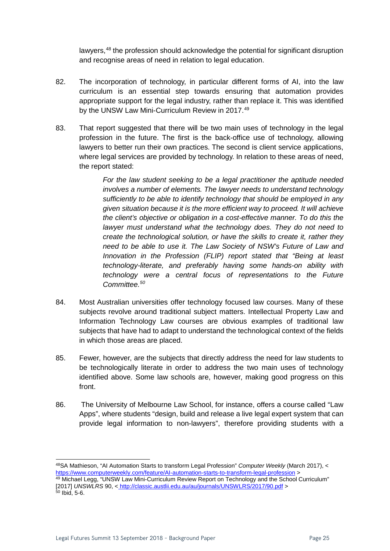lawyers,<sup>[48](#page-24-0)</sup> the profession should acknowledge the potential for significant disruption and recognise areas of need in relation to legal education.

- 82. The incorporation of technology, in particular different forms of AI, into the law curriculum is an essential step towards ensuring that automation provides appropriate support for the legal industry, rather than replace it. This was identified by the UNSW Law Mini-Curriculum Review in 2017.<sup>[49](#page-24-1)</sup>
- 83. That report suggested that there will be two main uses of technology in the legal profession in the future. The first is the back-office use of technology, allowing lawyers to better run their own practices. The second is client service applications, where legal services are provided by technology. In relation to these areas of need, the report stated:

*For the law student seeking to be a legal practitioner the aptitude needed involves a number of elements. The lawyer needs to understand technology sufficiently to be able to identify technology that should be employed in any given situation because it is the more efficient way to proceed. It will achieve the client's objective or obligation in a cost-effective manner. To do this the lawyer must understand what the technology does. They do not need to create the technological solution, or have the skills to create it, rather they need to be able to use it. The Law Society of NSW's Future of Law and Innovation in the Profession (FLIP) report stated that "Being at least technology-literate, and preferably having some hands-on ability with technology were a central focus of representations to the Future Committee.[50](#page-24-2)*

- 84. Most Australian universities offer technology focused law courses. Many of these subjects revolve around traditional subject matters. Intellectual Property Law and Information Technology Law courses are obvious examples of traditional law subjects that have had to adapt to understand the technological context of the fields in which those areas are placed.
- 85. Fewer, however, are the subjects that directly address the need for law students to be technologically literate in order to address the two main uses of technology identified above. Some law schools are, however, making good progress on this front.
- 86. The University of Melbourne Law School, for instance, offers a course called "Law Apps", where students "design, build and release a live legal expert system that can provide legal information to non-lawyers", therefore providing students with a

<span id="page-24-2"></span><span id="page-24-1"></span><span id="page-24-0"></span> <sup>48</sup>SA Mathieson, "AI Automation Starts to transform Legal Profession" *Computer Weekly* (March 2017), < <https://www.computerweekly.com/feature/AI-automation-starts-to-transform-legal-profession> > Ag Michael Legg, "UNSW Law Mini-Curriculum Review Report on Technology and the School Curriculum" [2017] *UNSWLRS* 90, < http://classic.austlii.edu.au/au/journals/UNSWLRS/2017/90.pdf > 50 Ibid, 5-6.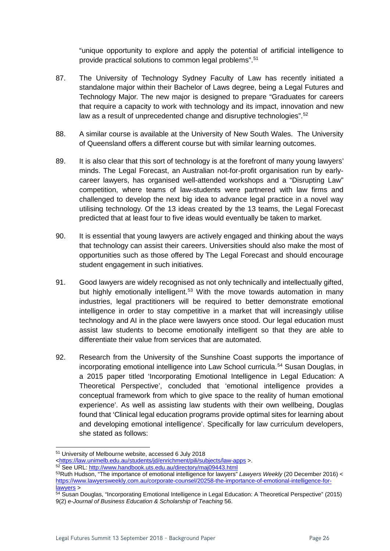"unique opportunity to explore and apply the potential of artificial intelligence to provide practical solutions to common legal problems".[51](#page-25-0)

- 87. The University of Technology Sydney Faculty of Law has recently initiated a standalone major within their Bachelor of Laws degree, being a Legal Futures and Technology Major. The new major is designed to prepare "Graduates for careers that require a capacity to work with technology and its impact, innovation and new law as a result of unprecedented change and disruptive technologies".[52](#page-25-1)
- 88. A similar course is available at the University of New South Wales. The University of Queensland offers a different course but with similar learning outcomes.
- 89. It is also clear that this sort of technology is at the forefront of many young lawyers' minds. The Legal Forecast, an Australian not-for-profit organisation run by earlycareer lawyers, has organised well-attended workshops and a "Disrupting Law" competition, where teams of law-students were partnered with law firms and challenged to develop the next big idea to advance legal practice in a novel way utilising technology. Of the 13 ideas created by the 13 teams, the Legal Forecast predicted that at least four to five ideas would eventually be taken to market.
- 90. It is essential that young lawyers are actively engaged and thinking about the ways that technology can assist their careers. Universities should also make the most of opportunities such as those offered by The Legal Forecast and should encourage student engagement in such initiatives.
- 91. Good lawyers are widely recognised as not only technically and intellectually gifted, but highly emotionally intelligent.<sup>[53](#page-25-2)</sup> With the move towards automation in many industries, legal practitioners will be required to better demonstrate emotional intelligence in order to stay competitive in a market that will increasingly utilise technology and AI in the place were lawyers once stood. Our legal education must assist law students to become emotionally intelligent so that they are able to differentiate their value from services that are automated.
- 92. Research from the University of the Sunshine Coast supports the importance of incorporating emotional intelligence into Law School curricula.<sup>[54](#page-25-3)</sup> Susan Douglas, in a 2015 paper titled 'Incorporating Emotional Intelligence in Legal Education: A Theoretical Perspective', concluded that 'emotional intelligence provides a conceptual framework from which to give space to the reality of human emotional experience'. As well as assisting law students with their own wellbeing, Douglas found that 'Clinical legal education programs provide optimal sites for learning about and developing emotional intelligence'. Specifically for law curriculum developers, she stated as follows:

<span id="page-25-0"></span> <sup>51</sup> University of Melbourne website, accessed 6 July 2018

[<sup>&</sup>lt;https://law.unimelb.edu.au/students/jd/enrichment/pili/subjects/law-apps](https://law.unimelb.edu.au/students/jd/enrichment/pili/subjects/law-apps) >.

<sup>52</sup> See URL[: http://www.handbook.uts.edu.au/directory/maj09443.html](http://www.handbook.uts.edu.au/directory/maj09443.html)

<span id="page-25-2"></span><span id="page-25-1"></span><sup>53</sup>Ruth Hudson, "The importance of emotional intelligence for lawyers" *Lawyers Weekly* (20 December 2016) < [https://www.lawyersweekly.com.au/corporate-counsel/20258-the-importance-of-emotional-intelligence-for-](https://www.lawyersweekly.com.au/corporate-counsel/20258-the-importance-of-emotional-intelligence-for-lawyers)

<span id="page-25-3"></span>lawyers ><br><sup>54</sup> Susan Douglas, "Incorporating Emotional Intelligence in Legal Education: A Theoretical Perspective" (2015) 9(2) *e-Journal of Business Education & Scholarship of Teaching* 56.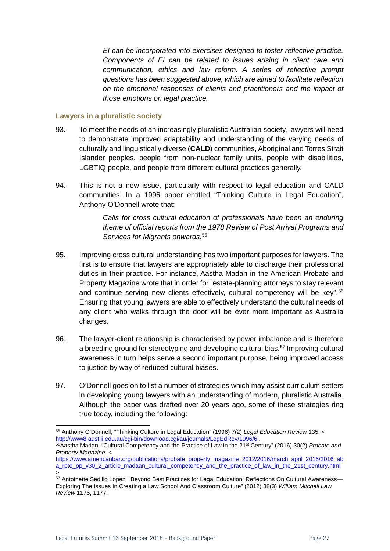*EI can be incorporated into exercises designed to foster reflective practice. Components of EI can be related to issues arising in client care and communication, ethics and law reform. A series of reflective prompt questions has been suggested above, which are aimed to facilitate reflection on the emotional responses of clients and practitioners and the impact of those emotions on legal practice.*

#### **Lawyers in a pluralistic society**

- 93. To meet the needs of an increasingly pluralistic Australian society, lawyers will need to demonstrate improved adaptability and understanding of the varying needs of culturally and linguistically diverse (**CALD**) communities, Aboriginal and Torres Strait Islander peoples, people from non-nuclear family units, people with disabilities, LGBTIQ people, and people from different cultural practices generally.
- 94. This is not a new issue, particularly with respect to legal education and CALD communities. In a 1996 paper entitled "Thinking Culture in Legal Education", Anthony O'Donnell wrote that:

*Calls for cross cultural education of professionals have been an enduring theme of official reports from the 1978 Review of Post Arrival Programs and Services for Migrants onwards.*[55](#page-26-0)

- 95. Improving cross cultural understanding has two important purposes for lawyers. The first is to ensure that lawyers are appropriately able to discharge their professional duties in their practice. For instance, Aastha Madan in the American Probate and Property Magazine wrote that in order for "estate-planning attorneys to stay relevant and continue serving new clients effectively, cultural competency will be key".<sup>[56](#page-26-1)</sup> Ensuring that young lawyers are able to effectively understand the cultural needs of any client who walks through the door will be ever more important as Australia changes.
- 96. The lawyer-client relationship is characterised by power imbalance and is therefore a breeding ground for stereotyping and developing cultural bias.[57](#page-26-2) Improving cultural awareness in turn helps serve a second important purpose, being improved access to justice by way of reduced cultural biases.
- 97. O'Donnell goes on to list a number of strategies which may assist curriculum setters in developing young lawyers with an understanding of modern, pluralistic Australia. Although the paper was drafted over 20 years ago, some of these strategies ring true today, including the following:

<span id="page-26-0"></span> <sup>55</sup> Anthony O'Donnell, "Thinking Culture in Legal Education" (1996) 7(2) *Legal Education Review* 135. < http://www8.austlii.edu.au/cgi-bin/download.cgi/au/journals/LegEdRev/1996/6 .<br><sup>56</sup>Aastha Madan, "Cultural Competency and the Practice of Law in the 21<sup>st</sup> Century" (2016) 30(2) *Probate and* 

<span id="page-26-1"></span>*Property Magazine.* <

[https://www.americanbar.org/publications/probate\\_property\\_magazine\\_2012/2016/march\\_april\\_2016/2016\\_ab](https://www.americanbar.org/publications/probate_property_magazine_2012/2016/march_april_2016/2016_aba_rpte_pp_v30_2_article_madaan_cultural_competency_and_the_practice_of_law_in_the_21st_century.html) [a\\_rpte\\_pp\\_v30\\_2\\_article\\_madaan\\_cultural\\_competency\\_and\\_the\\_practice\\_of\\_law\\_in\\_the\\_21st\\_century.html](https://www.americanbar.org/publications/probate_property_magazine_2012/2016/march_april_2016/2016_aba_rpte_pp_v30_2_article_madaan_cultural_competency_and_the_practice_of_law_in_the_21st_century.html) >

<span id="page-26-2"></span><sup>57</sup> Antoinette Sedillo Lopez, "Beyond Best Practices for Legal Education: Reflections On Cultural Awareness— Exploring The Issues In Creating a Law School And Classroom Culture" (2012) 38(3) *William Mitchell Law Review* 1176, 1177.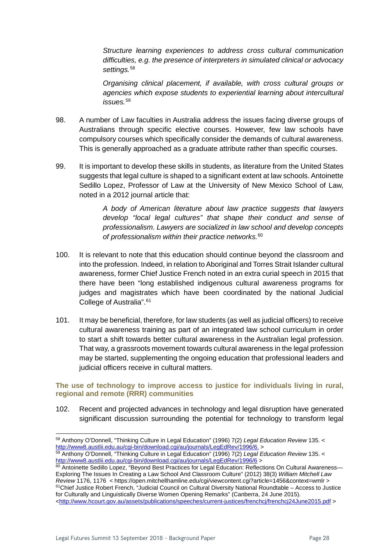*Structure learning experiences to address cross cultural communication difficulties, e.g. the presence of interpreters in simulated clinical or advocacy settings.*[58](#page-27-0)

*Organising clinical placement, if available, with cross cultural groups or agencies which expose students to experiential learning about intercultural issues.* [59](#page-27-1)

- 98. A number of Law faculties in Australia address the issues facing diverse groups of Australians through specific elective courses. However, few law schools have compulsory courses which specifically consider the demands of cultural awareness. This is generally approached as a graduate attribute rather than specific courses.
- 99. It is important to develop these skills in students, as literature from the United States suggests that legal culture is shaped to a significant extent at law schools. Antoinette Sedillo Lopez, Professor of Law at the University of New Mexico School of Law, noted in a 2012 journal article that:

*A body of American literature about law practice suggests that lawyers develop "local legal cultures" that shape their conduct and sense of professionalism. Lawyers are socialized in law school and develop concepts of professionalism within their practice networks.* [60](#page-27-2)

- 100. It is relevant to note that this education should continue beyond the classroom and into the profession. Indeed, in relation to Aboriginal and Torres Strait Islander cultural awareness, former Chief Justice French noted in an extra curial speech in 2015 that there have been "long established indigenous cultural awareness programs for judges and magistrates which have been coordinated by the national Judicial College of Australia".[61](#page-27-3)
- 101. It may be beneficial, therefore, for law students (as well as judicial officers) to receive cultural awareness training as part of an integrated law school curriculum in order to start a shift towards better cultural awareness in the Australian legal profession. That way, a grassroots movement towards cultural awareness in the legal profession may be started, supplementing the ongoing education that professional leaders and judicial officers receive in cultural matters.

#### **The use of technology to improve access to justice for individuals living in rural, regional and remote (RRR) communities**

102. Recent and projected advances in technology and legal disruption have generated significant discussion surrounding the potential for technology to transform legal

<span id="page-27-0"></span><sup>58</sup> Anthony O'Donnell, "Thinking Culture in Legal Education" (1996) 7(2) Legal Education Review 135. <<br>http://www8.austlii.edu.au/cgi-bin/download.cgi/au/journals/LegEdRev/1996/6. >

<span id="page-27-1"></span><sup>59</sup> Anthony O'Donnell, "Thinking Culture in Legal Education" (1996) 7(2) *Legal Education Review* 135. < <http://www8.austlii.edu.au/cgi-bin/download.cgi/au/journals/LegEdRev/1996/6> >

<span id="page-27-3"></span><span id="page-27-2"></span><sup>60</sup> Antoinette Sedillo Lopez, "Beyond Best Practices for Legal Education: Reflections On Cultural Awareness— Exploring The Issues In Creating a Law School And Classroom Culture" (2012) 38(3) *William Mitchell Law Review* 1176, 1176 < https://open.mitchellhamline.edu/cgi/viewcontent.cgi?article=1456&context=wmlr > 61Chief Justice Robert French, "Judicial Council on Cultural Diversity National Roundtable – Access to Justice for Culturally and Linguistically Diverse Women Opening Remarks" (Canberra, 24 June 2015). [<http://www.hcourt.gov.au/assets/publications/speeches/current-justices/frenchcj/frenchcj24June2015.pdf](http://www.hcourt.gov.au/assets/publications/speeches/current-justices/frenchcj/frenchcj24June2015.pdf) >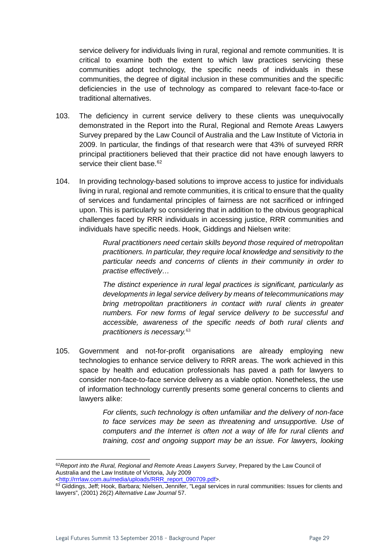service delivery for individuals living in rural, regional and remote communities. It is critical to examine both the extent to which law practices servicing these communities adopt technology, the specific needs of individuals in these communities, the degree of digital inclusion in these communities and the specific deficiencies in the use of technology as compared to relevant face-to-face or traditional alternatives.

- 103. The deficiency in current service delivery to these clients was unequivocally demonstrated in the Report into the Rural, Regional and Remote Areas Lawyers Survey prepared by the Law Council of Australia and the Law Institute of Victoria in 2009. In particular, the findings of that research were that 43% of surveyed RRR principal practitioners believed that their practice did not have enough lawyers to service their client base.<sup>[62](#page-28-0)</sup>
- 104. In providing technology-based solutions to improve access to justice for individuals living in rural, regional and remote communities, it is critical to ensure that the quality of services and fundamental principles of fairness are not sacrificed or infringed upon. This is particularly so considering that in addition to the obvious geographical challenges faced by RRR individuals in accessing justice, RRR communities and individuals have specific needs. Hook, Giddings and Nielsen write:

*Rural practitioners need certain skills beyond those required of metropolitan practitioners. In particular, they require local knowledge and sensitivity to the particular needs and concerns of clients in their community in order to practise effectively…*

*The distinct experience in rural legal practices is significant, particularly as developments in legal service delivery by means of telecommunications may bring metropolitan practitioners in contact with rural clients in greater numbers. For new forms of legal service delivery to be successful and accessible, awareness of the specific needs of both rural clients and practitioners is necessary.*[63](#page-28-1)

105. Government and not-for-profit organisations are already employing new technologies to enhance service delivery to RRR areas. The work achieved in this space by health and education professionals has paved a path for lawyers to consider non-face-to-face service delivery as a viable option. Nonetheless, the use of information technology currently presents some general concerns to clients and lawyers alike:

> *For clients, such technology is often unfamiliar and the delivery of non-face to face services may be seen as threatening and unsupportive. Use of computers and the Internet is often not a way of life for rural clients and training, cost and ongoing support may be an issue. For lawyers, looking*

<span id="page-28-0"></span> <sup>62</sup>*Report into the Rural, Regional and Remote Areas Lawyers Survey*, Prepared by the Law Council of Australia and the Law Institute of Victoria, July 2009<br><http://rrrlaw.com.au/media/uploads/RRR\_report\_090709.pdf>.

<span id="page-28-1"></span><sup>63</sup> Giddings, Jeff; Hook, Barbara; Nielsen, Jennifer, "Legal services in rural communities: Issues for clients and lawyers", (2001) 26(2) *Alternative Law Journal* 57.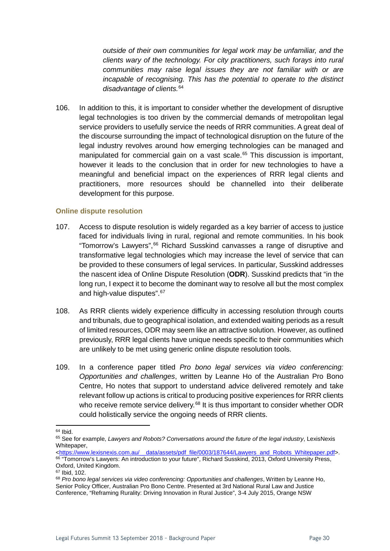*outside of their own communities for legal work may be unfamiliar, and the clients wary of the technology. For city practitioners, such forays into rural communities may raise legal issues they are not familiar with or are incapable of recognising. This has the potential to operate to the distinct disadvantage of clients.*[64](#page-29-0)

106. In addition to this, it is important to consider whether the development of disruptive legal technologies is too driven by the commercial demands of metropolitan legal service providers to usefully service the needs of RRR communities. A great deal of the discourse surrounding the impact of technological disruption on the future of the legal industry revolves around how emerging technologies can be managed and manipulated for commercial gain on a vast scale.<sup>[65](#page-29-1)</sup> This discussion is important, however it leads to the conclusion that in order for new technologies to have a meaningful and beneficial impact on the experiences of RRR legal clients and practitioners, more resources should be channelled into their deliberate development for this purpose.

#### **Online dispute resolution**

- 107. Access to dispute resolution is widely regarded as a key barrier of access to justice faced for individuals living in rural, regional and remote communities. In his book "Tomorrow's Lawyers",<sup>[66](#page-29-2)</sup> Richard Susskind canvasses a range of disruptive and transformative legal technologies which may increase the level of service that can be provided to these consumers of legal services. In particular, Susskind addresses the nascent idea of Online Dispute Resolution (**ODR**). Susskind predicts that "in the long run, I expect it to become the dominant way to resolve all but the most complex and high-value disputes".<sup>[67](#page-29-3)</sup>
- 108. As RRR clients widely experience difficulty in accessing resolution through courts and tribunals, due to geographical isolation, and extended waiting periods as a result of limited resources, ODR may seem like an attractive solution. However, as outlined previously, RRR legal clients have unique needs specific to their communities which are unlikely to be met using generic online dispute resolution tools.
- 109. In a conference paper titled *Pro bono legal services via video conferencing: Opportunities and challenges*, written by Leanne Ho of the Australian Pro Bono Centre, Ho notes that support to understand advice delivered remotely and take relevant follow up actions is critical to producing positive experiences for RRR clients who receive remote service delivery.<sup>[68](#page-29-4)</sup> It is thus important to consider whether ODR could holistically service the ongoing needs of RRR clients.

 $64$  Ibid.

<span id="page-29-1"></span><span id="page-29-0"></span><sup>65</sup> See for example, *Lawyers and Robots? Conversations around the future of the legal industry*, LexisNexis Whitepaper,<br><https://www.lexisnexis.com.au/ data/assets/pdf file/0003/187644/Lawyers and Robots Whitepaper.pdf>.

<span id="page-29-2"></span><sup>66 &</sup>quot;Tomorrow's Lawyers: An introduction to your future", Richard Susskind, 2013, Oxford University Press, Oxford, United Kingdom.<br><sup>67</sup> Ibid. 102.

<span id="page-29-4"></span><span id="page-29-3"></span><sup>&</sup>lt;sup>68</sup> Pro bono legal services via video conferencing: Opportunities and challenges, Written by Leanne Ho, Senior Policy Officer, Australian Pro Bono Centre. Presented at 3rd National Rural Law and Justice Conference, "Reframing Rurality: Driving Innovation in Rural Justice", 3-4 July 2015, Orange NSW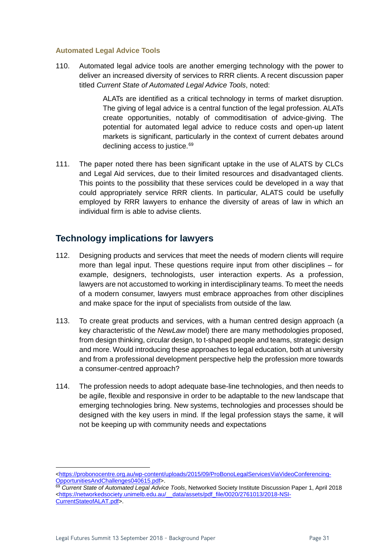#### **Automated Legal Advice Tools**

110. Automated legal advice tools are another emerging technology with the power to deliver an increased diversity of services to RRR clients. A recent discussion paper titled *Current State of Automated Legal Advice Tools*, noted:

> ALATs are identified as a critical technology in terms of market disruption. The giving of legal advice is a central function of the legal profession. ALATs create opportunities, notably of commoditisation of advice-giving. The potential for automated legal advice to reduce costs and open-up latent markets is significant, particularly in the context of current debates around declining access to justice.<sup>[69](#page-30-1)</sup>

111. The paper noted there has been significant uptake in the use of ALATS by CLCs and Legal Aid services, due to their limited resources and disadvantaged clients. This points to the possibility that these services could be developed in a way that could appropriately service RRR clients. In particular, ALATS could be usefully employed by RRR lawyers to enhance the diversity of areas of law in which an individual firm is able to advise clients.

# <span id="page-30-0"></span>**Technology implications for lawyers**

- 112. Designing products and services that meet the needs of modern clients will require more than legal input. These questions require input from other disciplines – for example, designers, technologists, user interaction experts. As a profession, lawyers are not accustomed to working in interdisciplinary teams. To meet the needs of a modern consumer, lawyers must embrace approaches from other disciplines and make space for the input of specialists from outside of the law.
- 113. To create great products and services, with a human centred design approach (a key characteristic of the *NewLaw* model) there are many methodologies proposed, from design thinking, circular design, to t-shaped people and teams, strategic design and more. Would introducing these approaches to legal education, both at university and from a professional development perspective help the profession more towards a consumer-centred approach?
- 114. The profession needs to adopt adequate base-line technologies, and then needs to be agile, flexible and responsive in order to be adaptable to the new landscape that emerging technologies bring. New systems, technologies and processes should be designed with the key users in mind. If the legal profession stays the same, it will not be keeping up with community needs and expectations

<sup>&</sup>lt;https://probonocentre.org.au/wp-content/uploads/2015/09/ProBonoLegalServicesViaVideoConferencing-<br>OpportunitiesAndChallenges040615.pdf>

<span id="page-30-1"></span><sup>&</sup>lt;sup>69</sup> Current State of Automated Legal Advice Tools, Networked Society Institute Discussion Paper 1, April 2018 [<https://networkedsociety.unimelb.edu.au/\\_\\_data/assets/pdf\\_file/0020/2761013/2018-NSI-](https://networkedsociety.unimelb.edu.au/__data/assets/pdf_file/0020/2761013/2018-NSI-CurrentStateofALAT.pdf)[CurrentStateofALAT.pdf>](https://networkedsociety.unimelb.edu.au/__data/assets/pdf_file/0020/2761013/2018-NSI-CurrentStateofALAT.pdf).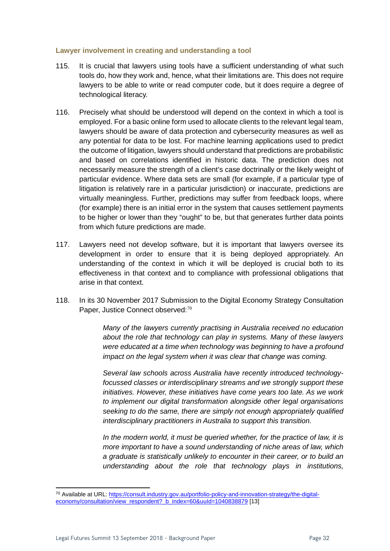#### **Lawyer involvement in creating and understanding a tool**

- 115. It is crucial that lawyers using tools have a sufficient understanding of what such tools do, how they work and, hence, what their limitations are. This does not require lawyers to be able to write or read computer code, but it does require a degree of technological literacy.
- 116. Precisely what should be understood will depend on the context in which a tool is employed. For a basic online form used to allocate clients to the relevant legal team, lawyers should be aware of data protection and cybersecurity measures as well as any potential for data to be lost. For machine learning applications used to predict the outcome of litigation, lawyers should understand that predictions are probabilistic and based on correlations identified in historic data. The prediction does not necessarily measure the strength of a client's case doctrinally or the likely weight of particular evidence. Where data sets are small (for example, if a particular type of litigation is relatively rare in a particular jurisdiction) or inaccurate, predictions are virtually meaningless. Further, predictions may suffer from feedback loops, where (for example) there is an initial error in the system that causes settlement payments to be higher or lower than they "ought" to be, but that generates further data points from which future predictions are made.
- 117. Lawyers need not develop software, but it is important that lawyers oversee its development in order to ensure that it is being deployed appropriately. An understanding of the context in which it will be deployed is crucial both to its effectiveness in that context and to compliance with professional obligations that arise in that context.
- 118. In its 30 November 2017 Submission to the Digital Economy Strategy Consultation Paper, Justice Connect observed:<sup>[70](#page-31-0)</sup>

*Many of the lawyers currently practising in Australia received no education about the role that technology can play in systems. Many of these lawyers were educated at a time when technology was beginning to have a profound impact on the legal system when it was clear that change was coming.* 

*Several law schools across Australia have recently introduced technologyfocussed classes or interdisciplinary streams and we strongly support these initiatives. However, these initiatives have come years too late. As we work to implement our digital transformation alongside other legal organisations seeking to do the same, there are simply not enough appropriately qualified interdisciplinary practitioners in Australia to support this transition.* 

*In the modern world, it must be queried whether, for the practice of law, it is more important to have a sound understanding of niche areas of law, which a graduate is statistically unlikely to encounter in their career, or to build an understanding about the role that technology plays in institutions,* 

<span id="page-31-0"></span> <sup>70</sup> Available at URL: [https://consult.industry.gov.au/portfolio-policy-and-innovation-strategy/the-digital](https://consult.industry.gov.au/portfolio-policy-and-innovation-strategy/the-digital-economy/consultation/view_respondent?_b_index=60&uuId=1040838879)[economy/consultation/view\\_respondent?\\_b\\_index=60&uuId=1040838879](https://consult.industry.gov.au/portfolio-policy-and-innovation-strategy/the-digital-economy/consultation/view_respondent?_b_index=60&uuId=1040838879) [13]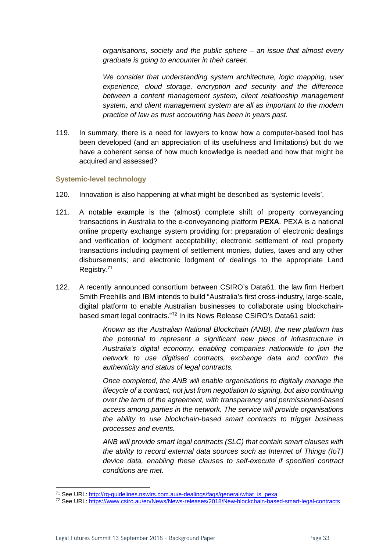*organisations, society and the public sphere – an issue that almost every graduate is going to encounter in their career.* 

*We consider that understanding system architecture, logic mapping, user experience, cloud storage, encryption and security and the difference between a content management system, client relationship management system, and client management system are all as important to the modern practice of law as trust accounting has been in years past.*

119. In summary, there is a need for lawyers to know how a computer-based tool has been developed (and an appreciation of its usefulness and limitations) but do we have a coherent sense of how much knowledge is needed and how that might be acquired and assessed?

#### **Systemic-level technology**

- 120. Innovation is also happening at what might be described as 'systemic levels'.
- 121. A notable example is the (almost) complete shift of property conveyancing transactions in Australia to the e-conveyancing platform **PEXA**. PEXA is a national online property exchange system providing for: preparation of electronic dealings and verification of lodgment acceptability; electronic settlement of real property transactions including payment of settlement monies, duties, taxes and any other disbursements; and electronic lodgment of dealings to the appropriate Land Registry.[71](#page-32-0)
- 122. A recently announced consortium between CSIRO's Data61, the law firm Herbert Smith Freehills and IBM intends to build "Australia's first cross-industry, large-scale, digital platform to enable Australian businesses to collaborate using blockchainbased smart legal contracts."[72](#page-32-1) In its News Release CSIRO's Data61 said:

*Known as the Australian National Blockchain (ANB), the new platform has the potential to represent a significant new piece of infrastructure in Australia's digital economy, enabling companies nationwide to join the network to use digitised contracts, exchange data and confirm the authenticity and status of legal contracts.*

*Once completed, the ANB will enable organisations to digitally manage the lifecycle of a contract, not just from negotiation to signing, but also continuing over the term of the agreement, with transparency and permissioned-based access among parties in the network. The service will provide organisations the ability to use blockchain-based smart contracts to trigger business processes and events.*

*ANB will provide smart legal contracts (SLC) that contain smart clauses with the ability to record external data sources such as Internet of Things (IoT) device data, enabling these clauses to self-execute if specified contract conditions are met.*

<sup>&</sup>lt;sup>71</sup> See URL: http://rg-guidelines.nswlrs.com.au/e-dealings/fags/general/what\_is\_pexa

<span id="page-32-1"></span><span id="page-32-0"></span><sup>72</sup> See URL[: https://www.csiro.au/en/News/News-releases/2018/New-blockchain-based-smart-legal-contracts](https://www.csiro.au/en/News/News-releases/2018/New-blockchain-based-smart-legal-contracts)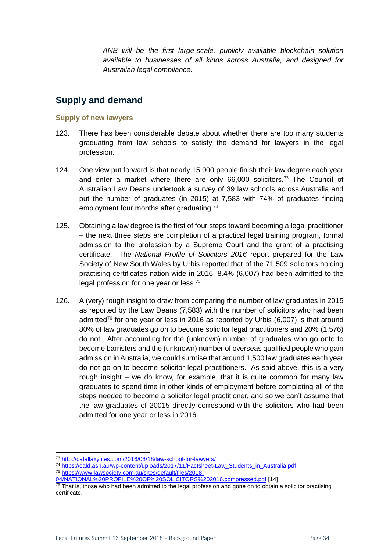*ANB will be the first large-scale, publicly available blockchain solution available to businesses of all kinds across Australia, and designed for Australian legal compliance.*

# <span id="page-33-0"></span>**Supply and demand**

#### **Supply of new lawyers**

- 123. There has been considerable debate about whether there are too many students graduating from law schools to satisfy the demand for lawyers in the legal profession.
- 124. One view put forward is that nearly 15,000 people finish their law degree each year and enter a market where there are only  $66,000$  solicitors.<sup>[73](#page-33-1)</sup> The Council of Australian Law Deans undertook a survey of 39 law schools across Australia and put the number of graduates (in 2015) at 7,583 with 74% of graduates finding employment four months after graduating.<sup>[74](#page-33-2)</sup>
- 125. Obtaining a law degree is the first of four steps toward becoming a legal practitioner – the next three steps are completion of a practical legal training program, formal admission to the profession by a Supreme Court and the grant of a practising certificate. The *National Profile of Solicitors 2016* report prepared for the Law Society of New South Wales by Urbis reported that of the 71,509 solicitors holding practising certificates nation-wide in 2016, 8.4% (6,007) had been admitted to the legal profession for one year or less.<sup>[75](#page-33-3)</sup>
- 126. A (very) rough insight to draw from comparing the number of law graduates in 2015 as reported by the Law Deans (7,583) with the number of solicitors who had been admitted<sup>[76](#page-33-4)</sup> for one year or less in 2016 as reported by Urbis  $(6.007)$  is that around 80% of law graduates go on to become solicitor legal practitioners and 20% (1,576) do not. After accounting for the (unknown) number of graduates who go onto to become barristers and the (unknown) number of overseas qualified people who gain admission in Australia, we could surmise that around 1,500 law graduates each year do not go on to become solicitor legal practitioners. As said above, this is a very rough insight – we do know, for example, that it is quite common for many law graduates to spend time in other kinds of employment before completing all of the steps needed to become a solicitor legal practitioner, and so we can't assume that the law graduates of 20015 directly correspond with the solicitors who had been admitted for one year or less in 2016.

<span id="page-33-1"></span> <sup>73</sup> <http://catallaxyfiles.com/2016/08/18/law-school-for-lawyers/>

<sup>74</sup> [https://cald.asn.au/wp-content/uploads/2017/11/Factsheet-Law\\_Students\\_in\\_Australia.pdf](https://cald.asn.au/wp-content/uploads/2017/11/Factsheet-Law_Students_in_Australia.pdf)

<span id="page-33-3"></span><span id="page-33-2"></span><sup>75</sup> [https://www.lawsociety.com.au/sites/default/files/2018-](https://www.lawsociety.com.au/sites/default/files/2018-04/NATIONAL%20PROFILE%20OF%20SOLICITORS%202016.compressed.pdf)

[<sup>04/</sup>NATIONAL%20PROFILE%20OF%20SOLICITORS%202016.compressed.pdf](https://www.lawsociety.com.au/sites/default/files/2018-04/NATIONAL%20PROFILE%20OF%20SOLICITORS%202016.compressed.pdf) [14]

<span id="page-33-4"></span> $76$  That is, those who had been admitted to the legal profession and gone on to obtain a solicitor practising certificate.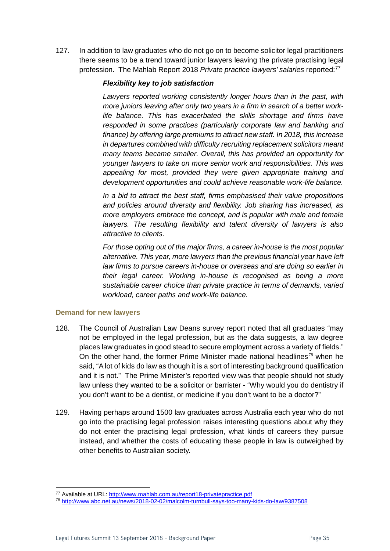127. In addition to law graduates who do not go on to become solicitor legal practitioners there seems to be a trend toward junior lawyers leaving the private practising legal profession. The Mahlab Report 2018 *Private practice lawyers' salaries* reported: [77](#page-34-0)

#### *Flexibility key to job satisfaction*

*Lawyers reported working consistently longer hours than in the past, with more juniors leaving after only two years in a firm in search of a better worklife balance. This has exacerbated the skills shortage and firms have responded in some practices (particularly corporate law and banking and finance) by offering large premiums to attract new staff. In 2018, this increase in departures combined with difficulty recruiting replacement solicitors meant many teams became smaller. Overall, this has provided an opportunity for younger lawyers to take on more senior work and responsibilities. This was appealing for most, provided they were given appropriate training and development opportunities and could achieve reasonable work-life balance.* 

*In a bid to attract the best staff, firms emphasised their value propositions and policies around diversity and flexibility. Job sharing has increased, as more employers embrace the concept, and is popular with male and female lawyers. The resulting flexibility and talent diversity of lawyers is also attractive to clients.*

*For those opting out of the major firms, a career in-house is the most popular alternative. This year, more lawyers than the previous financial year have left law firms to pursue careers in-house or overseas and are doing so earlier in their legal career. Working in-house is recognised as being a more sustainable career choice than private practice in terms of demands, varied workload, career paths and work-life balance.*

#### **Demand for new lawyers**

- 128. The Council of Australian Law Deans survey report noted that all graduates "may not be employed in the legal profession, but as the data suggests, a law degree places law graduates in good stead to secure employment across a variety of fields." On the other hand, the former Prime Minister made national headlines<sup>[78](#page-34-1)</sup> when he said, "A lot of kids do law as though it is a sort of interesting background qualification and it is not." The Prime Minister's reported view was that people should not study law unless they wanted to be a solicitor or barrister - "Why would you do dentistry if you don't want to be a dentist, or medicine if you don't want to be a doctor?"
- 129. Having perhaps around 1500 law graduates across Australia each year who do not go into the practising legal profession raises interesting questions about why they do not enter the practising legal profession, what kinds of careers they pursue instead, and whether the costs of educating these people in law is outweighed by other benefits to Australian society.

<span id="page-34-0"></span> <sup>77</sup> Available at URL:<http://www.mahlab.com.au/report18-privatepractice.pdf>

<span id="page-34-1"></span><sup>78</sup> <http://www.abc.net.au/news/2018-02-02/malcolm-turnbull-says-too-many-kids-do-law/9387508>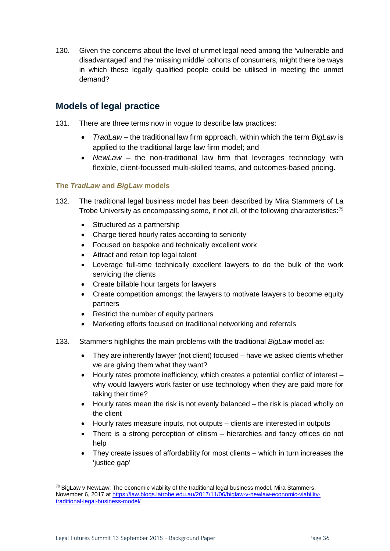130. Given the concerns about the level of unmet legal need among the 'vulnerable and disadvantaged' and the 'missing middle' cohorts of consumers, might there be ways in which these legally qualified people could be utilised in meeting the unmet demand?

# <span id="page-35-0"></span>**Models of legal practice**

- 131. There are three terms now in vogue to describe law practices:
	- *TradLaw* the traditional law firm approach, within which the term *BigLaw* is applied to the traditional large law firm model; and
	- *NewLaw* the non-traditional law firm that leverages technology with flexible, client-focussed multi-skilled teams, and outcomes-based pricing.

#### **The** *TradLaw* **and** *BigLaw* **models**

- 132. The traditional legal business model has been described by Mira Stammers of La Trobe University as encompassing some, if not all, of the following characteristics:<sup>[79](#page-35-1)</sup>
	- Structured as a partnership
	- Charge tiered hourly rates according to seniority
	- Focused on bespoke and technically excellent work
	- Attract and retain top legal talent
	- Leverage full-time technically excellent lawyers to do the bulk of the work servicing the clients
	- Create billable hour targets for lawyers
	- Create competition amongst the lawyers to motivate lawyers to become equity partners
	- Restrict the number of equity partners
	- Marketing efforts focused on traditional networking and referrals
- 133. Stammers highlights the main problems with the traditional *BigLaw* model as:
	- They are inherently lawyer (not client) focused have we asked clients whether we are giving them what they want?
	- Hourly rates promote inefficiency, which creates a potential conflict of interest why would lawyers work faster or use technology when they are paid more for taking their time?
	- Hourly rates mean the risk is not evenly balanced the risk is placed wholly on the client
	- Hourly rates measure inputs, not outputs clients are interested in outputs
	- There is a strong perception of elitism hierarchies and fancy offices do not help
	- They create issues of affordability for most clients which in turn increases the 'justice gap'

<span id="page-35-1"></span> $79$  BigLaw v NewLaw: The economic viability of the traditional legal business model, Mira Stammers, [November 6, 2017](https://law.blogs.latrobe.edu.au/2017/11/06/biglaw-v-newlaw-economic-viability-traditional-legal-business-model/) a[t https://law.blogs.latrobe.edu.au/2017/11/06/biglaw-v-newlaw-economic-viability](https://law.blogs.latrobe.edu.au/2017/11/06/biglaw-v-newlaw-economic-viability-traditional-legal-business-model/)[traditional-legal-business-model/](https://law.blogs.latrobe.edu.au/2017/11/06/biglaw-v-newlaw-economic-viability-traditional-legal-business-model/)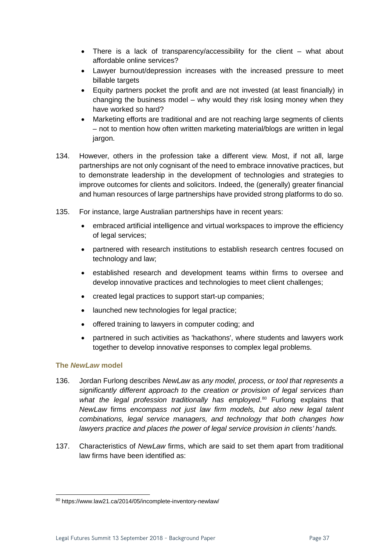- There is a lack of transparency/accessibility for the client what about affordable online services?
- Lawyer burnout/depression increases with the increased pressure to meet billable targets
- Equity partners pocket the profit and are not invested (at least financially) in changing the business model – why would they risk losing money when they have worked so hard?
- Marketing efforts are traditional and are not reaching large segments of clients – not to mention how often written marketing material/blogs are written in legal jargon.
- 134. However, others in the profession take a different view. Most, if not all, large partnerships are not only cognisant of the need to embrace innovative practices, but to demonstrate leadership in the development of technologies and strategies to improve outcomes for clients and solicitors. Indeed, the (generally) greater financial and human resources of large partnerships have provided strong platforms to do so.
- 135. For instance, large Australian partnerships have in recent years:
	- embraced artificial intelligence and virtual workspaces to improve the efficiency of legal services;
	- partnered with research institutions to establish research centres focused on technology and law;
	- established research and development teams within firms to oversee and develop innovative practices and technologies to meet client challenges;
	- created legal practices to support start-up companies;
	- launched new technologies for legal practice;
	- offered training to lawyers in computer coding; and
	- partnered in such activities as 'hackathons', where students and lawyers work together to develop innovative responses to complex legal problems.

#### **The** *NewLaw* **model**

- 136. Jordan Furlong describes *NewLaw* as *any model, process, or tool that represents a significantly different approach to the creation or provision of legal services than*  what the legal profession traditionally has employed.<sup>[80](#page-36-0)</sup> Furlong explains that *NewLaw* firms *encompass not just law firm models, but also new legal talent combinations, legal service managers, and technology that both changes how lawyers practice and places the power of legal service provision in clients' hands.*
- 137. Characteristics of *NewLaw* firms, which are said to set them apart from traditional law firms have been identified as:

<span id="page-36-0"></span> <sup>80</sup> https://www.law21.ca/2014/05/incomplete-inventory-newlaw/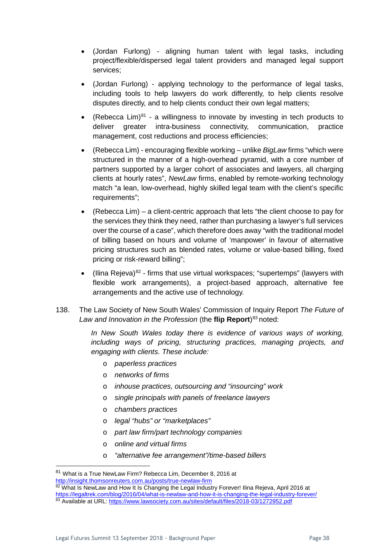- (Jordan Furlong) aligning human talent with legal tasks, including project/flexible/dispersed legal talent providers and managed legal support services;
- (Jordan Furlong) applying technology to the performance of legal tasks, including tools to help lawyers do work differently, to help clients resolve disputes directly, and to help clients conduct their own legal matters;
- (Rebecca Lim) $81$  a willingness to innovate by investing in tech products to deliver greater intra-business connectivity, communication, practice management, cost reductions and process efficiencies;
- (Rebecca Lim) encouraging flexible working unlike *BigLaw* firms "which were structured in the manner of a high-overhead pyramid, with a core number of partners supported by a larger cohort of associates and lawyers, all charging clients at hourly rates", *NewLaw* firms, enabled by remote-working technology match "a lean, low-overhead, highly skilled legal team with the client's specific requirements";
- (Rebecca Lim) a client-centric approach that lets "the client choose to pay for the services they think they need, rather than purchasing a lawyer's full services over the course of a case", which therefore does away "with the traditional model of billing based on hours and volume of 'manpower' in favour of alternative pricing structures such as blended rates, volume or value-based billing, fixed pricing or risk-reward billing";
- (Ilina Rejeva) $82$  firms that use virtual workspaces; "supertemps" (lawyers with flexible work arrangements), a project-based approach, alternative fee arrangements and the active use of technology.
- 138. The Law Society of New South Wales' Commission of Inquiry Report *The Future of*  Law and Innovation in the Profession (the **flip Report**)<sup>[83](#page-37-2)</sup> noted:

*In New South Wales today there is evidence of various ways of working, including ways of pricing, structuring practices, managing projects, and engaging with clients. These include:*

- o *paperless practices*
- o *networks of firms*
- o *inhouse practices, outsourcing and "insourcing" work*
- o *single principals with panels of freelance lawyers*
- o *chambers practices*
- o *legal "hubs" or "marketplaces"*
- o *part law firm/part technology companies*
- o *online and virtual firms*
- o *"alternative fee arrangement"/time-based billers*

<span id="page-37-0"></span> <sup>81</sup> What is a True NewLaw Firm? Rebecca Lim, December 8, 2016 at <http://insight.thomsonreuters.com.au/posts/true-newlaw-firm>

<span id="page-37-2"></span><span id="page-37-1"></span><sup>82</sup> What Is NewLaw and How It Is Changing the Legal Industry Forever! Ilina Rejeva, April 2016 at <https://legaltrek.com/blog/2016/04/what-is-newlaw-and-how-it-is-changing-the-legal-industry-forever/> 83 Available at URL:<https://www.lawsociety.com.au/sites/default/files/2018-03/1272952.pdf>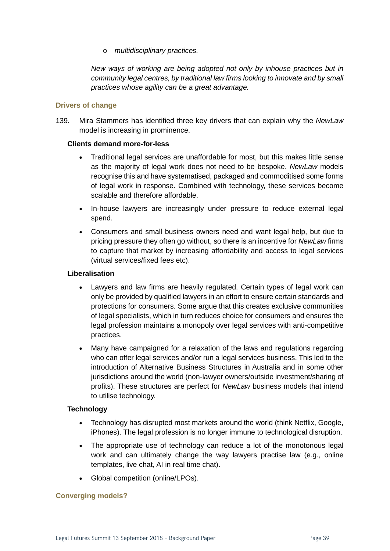o *multidisciplinary practices.*

*New ways of working are being adopted not only by inhouse practices but in community legal centres, by traditional law firms looking to innovate and by small practices whose agility can be a great advantage.*

#### **Drivers of change**

139. Mira Stammers has identified three key drivers that can explain why the *NewLaw* model is increasing in prominence.

#### **Clients demand more-for-less**

- Traditional legal services are unaffordable for most, but this makes little sense as the majority of legal work does not need to be bespoke. *NewLaw* models recognise this and have systematised, packaged and commoditised some forms of legal work in response. Combined with technology, these services become scalable and therefore affordable.
- In-house lawyers are increasingly under pressure to reduce external legal spend.
- Consumers and small business owners need and want legal help, but due to pricing pressure they often go without, so there is an incentive for *NewLaw* firms to capture that market by increasing affordability and access to legal services (virtual services/fixed fees etc).

#### **Liberalisation**

- Lawyers and law firms are heavily regulated. Certain types of legal work can only be provided by qualified lawyers in an effort to ensure certain standards and protections for consumers. Some argue that this creates exclusive communities of legal specialists, which in turn reduces choice for consumers and ensures the legal profession maintains a monopoly over legal services with anti-competitive practices.
- Many have campaigned for a relaxation of the laws and regulations regarding who can offer legal services and/or run a legal services business. This led to the introduction of Alternative Business Structures in Australia and in some other jurisdictions around the world (non-lawyer owners/outside investment/sharing of profits). These structures are perfect for *NewLaw* business models that intend to utilise technology.

#### **Technology**

- Technology has disrupted most markets around the world (think Netflix, Google, iPhones). The legal profession is no longer immune to technological disruption.
- The appropriate use of technology can reduce a lot of the monotonous legal work and can ultimately change the way lawyers practise law (e.g., online templates, live chat, AI in real time chat).
- Global competition (online/LPOs).

#### **Converging models?**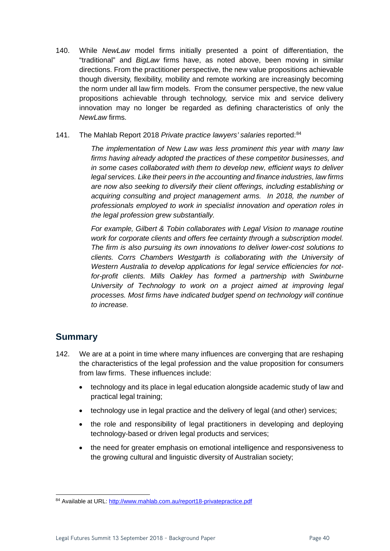- 140. While *NewLaw* model firms initially presented a point of differentiation, the "traditional" and *BigLaw* firms have, as noted above, been moving in similar directions. From the practitioner perspective, the new value propositions achievable though diversity, flexibility, mobility and remote working are increasingly becoming the norm under all law firm models. From the consumer perspective, the new value propositions achievable through technology, service mix and service delivery innovation may no longer be regarded as defining characteristics of only the *NewLaw* firms.
- 141. The Mahlab Report 2018 *Private practice lawyers' salaries* reported: [84](#page-39-1)

*The implementation of New Law was less prominent this year with many law firms having already adopted the practices of these competitor businesses, and in some cases collaborated with them to develop new, efficient ways to deliver legal services. Like their peers in the accounting and finance industries, law firms are now also seeking to diversify their client offerings, including establishing or acquiring consulting and project management arms. In 2018, the number of professionals employed to work in specialist innovation and operation roles in the legal profession grew substantially.* 

*For example, Gilbert & Tobin collaborates with Legal Vision to manage routine work for corporate clients and offers fee certainty through a subscription model. The firm is also pursuing its own innovations to deliver lower-cost solutions to clients. Corrs Chambers Westgarth is collaborating with the University of Western Australia to develop applications for legal service efficiencies for notfor-profit clients. Mills Oakley has formed a partnership with Swinburne University of Technology to work on a project aimed at improving legal processes. Most firms have indicated budget spend on technology will continue to increase.*

# <span id="page-39-0"></span>**Summary**

- 142. We are at a point in time where many influences are converging that are reshaping the characteristics of the legal profession and the value proposition for consumers from law firms. These influences include:
	- technology and its place in legal education alongside academic study of law and practical legal training;
	- technology use in legal practice and the delivery of legal (and other) services;
	- the role and responsibility of legal practitioners in developing and deploying technology-based or driven legal products and services;
	- the need for greater emphasis on emotional intelligence and responsiveness to the growing cultural and linguistic diversity of Australian society;

<span id="page-39-1"></span><sup>84</sup> Available at URL:<http://www.mahlab.com.au/report18-privatepractice.pdf>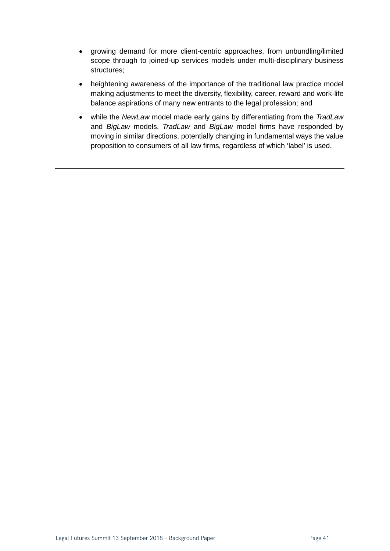- growing demand for more client-centric approaches, from unbundling/limited scope through to joined-up services models under multi-disciplinary business structures;
- heightening awareness of the importance of the traditional law practice model making adjustments to meet the diversity, flexibility, career, reward and work-life balance aspirations of many new entrants to the legal profession; and
- while the *NewLaw* model made early gains by differentiating from the *TradLaw* and *BigLaw* models, *TradLaw* and *BigLaw* model firms have responded by moving in similar directions, potentially changing in fundamental ways the value proposition to consumers of all law firms, regardless of which 'label' is used.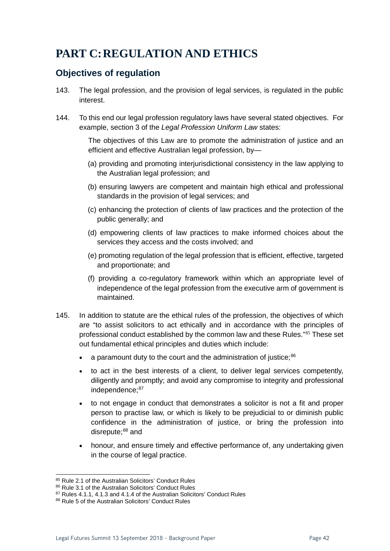# <span id="page-41-0"></span>**PART C:REGULATION AND ETHICS**

# <span id="page-41-1"></span>**Objectives of regulation**

- 143. The legal profession, and the provision of legal services, is regulated in the public interest.
- 144. To this end our legal profession regulatory laws have several stated objectives. For example, section 3 of the *Legal Profession Uniform Law* states:

The objectives of this Law are to promote the administration of justice and an efficient and effective Australian legal profession, by—

- (a) providing and promoting interjurisdictional consistency in the law applying to the Australian legal profession; and
- (b) ensuring lawyers are competent and maintain high ethical and professional standards in the provision of legal services; and
- (c) enhancing the protection of clients of law practices and the protection of the public generally; and
- (d) empowering clients of law practices to make informed choices about the services they access and the costs involved; and
- (e) promoting regulation of the legal profession that is efficient, effective, targeted and proportionate; and
- (f) providing a co-regulatory framework within which an appropriate level of independence of the legal profession from the executive arm of government is maintained.
- 145. In addition to statute are the ethical rules of the profession, the objectives of which are "to assist solicitors to act ethically and in accordance with the principles of professional conduct established by the common law and these Rules."[85](#page-41-2) These set out fundamental ethical principles and duties which include:
	- a paramount duty to the court and the administration of justice; $86$
	- to act in the best interests of a client, to deliver legal services competently, diligently and promptly; and avoid any compromise to integrity and professional independence; [87](#page-41-4)
	- to not engage in conduct that demonstrates a solicitor is not a fit and proper person to practise law, or which is likely to be prejudicial to or diminish public confidence in the administration of justice, or bring the profession into disrepute; [88](#page-41-5) and
	- honour, and ensure timely and effective performance of, any undertaking given in the course of legal practice.

<span id="page-41-2"></span><sup>85</sup> Rule 2.1 of the Australian Solicitors' Conduct Rules

<span id="page-41-3"></span><sup>86</sup> Rule 3.1 of the Australian Solicitors' Conduct Rules

<span id="page-41-4"></span><sup>&</sup>lt;sup>87</sup> Rules 4.1.1, 4.1.3 and 4.1.4 of the Australian Solicitors' Conduct Rules

<span id="page-41-5"></span><sup>88</sup> Rule 5 of the Australian Solicitors' Conduct Rules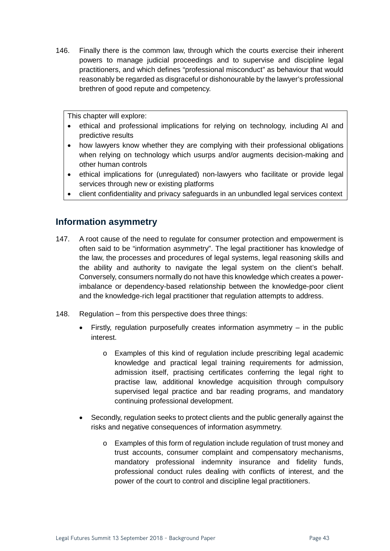146. Finally there is the common law, through which the courts exercise their inherent powers to manage judicial proceedings and to supervise and discipline legal practitioners, and which defines "professional misconduct" as behaviour that would reasonably be regarded as disgraceful or dishonourable by the lawyer's professional brethren of good repute and competency.

This chapter will explore:

- ethical and professional implications for relying on technology, including AI and predictive results
- how lawyers know whether they are complying with their professional obligations when relying on technology which usurps and/or augments decision-making and other human controls
- ethical implications for (unregulated) non-lawyers who facilitate or provide legal services through new or existing platforms
- client confidentiality and privacy safeguards in an unbundled legal services context

### <span id="page-42-0"></span>**Information asymmetry**

- 147. A root cause of the need to regulate for consumer protection and empowerment is often said to be "information asymmetry". The legal practitioner has knowledge of the law, the processes and procedures of legal systems, legal reasoning skills and the ability and authority to navigate the legal system on the client's behalf. Conversely, consumers normally do not have this knowledge which creates a powerimbalance or dependency-based relationship between the knowledge-poor client and the knowledge-rich legal practitioner that regulation attempts to address.
- 148. Regulation from this perspective does three things:
	- Firstly, regulation purposefully creates information asymmetry in the public interest.
		- o Examples of this kind of regulation include prescribing legal academic knowledge and practical legal training requirements for admission, admission itself, practising certificates conferring the legal right to practise law, additional knowledge acquisition through compulsory supervised legal practice and bar reading programs, and mandatory continuing professional development.
	- Secondly, regulation seeks to protect clients and the public generally against the risks and negative consequences of information asymmetry.
		- o Examples of this form of regulation include regulation of trust money and trust accounts, consumer complaint and compensatory mechanisms, mandatory professional indemnity insurance and fidelity funds, professional conduct rules dealing with conflicts of interest, and the power of the court to control and discipline legal practitioners.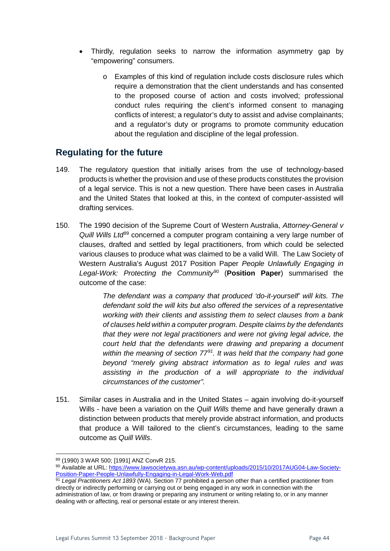- Thirdly, regulation seeks to narrow the information asymmetry gap by "empowering" consumers.
	- o Examples of this kind of regulation include costs disclosure rules which require a demonstration that the client understands and has consented to the proposed course of action and costs involved; professional conduct rules requiring the client's informed consent to managing conflicts of interest; a regulator's duty to assist and advise complainants; and a regulator's duty or programs to promote community education about the regulation and discipline of the legal profession.

# <span id="page-43-0"></span>**Regulating for the future**

- 149. The regulatory question that initially arises from the use of technology-based products is whether the provision and use of these products constitutes the provision of a legal service. This is not a new question. There have been cases in Australia and the United States that looked at this, in the context of computer-assisted will drafting services.
- 150. The 1990 decision of the Supreme Court of Western Australia, *Attorney-General v Quill Wills Ltd*<sup>[89](#page-43-1)</sup> concerned a computer program containing a very large number of clauses, drafted and settled by legal practitioners, from which could be selected various clauses to produce what was claimed to be a valid Will. The Law Society of Western Australia's August 2017 Position Paper *People Unlawfully Engaging in Legal-Work: Protecting the Community*[90](#page-43-2) (**Position Paper**) summarised the outcome of the case:

*The defendant was a company that produced 'do-it-yourself' will kits. The defendant sold the will kits but also offered the services of a representative working with their clients and assisting them to select clauses from a bank of clauses held within a computer program. Despite claims by the defendants that they were not legal practitioners and were not giving legal advice, the court held that the defendants were drawing and preparing a document within the meaning of section 77[91](#page-43-3). It was held that the company had gone beyond "merely giving abstract information as to legal rules and was assisting in the production of a will appropriate to the individual circumstances of the customer".*

151. Similar cases in Australia and in the United States – again involving do-it-yourself Wills - have been a variation on the *Quill Wills* theme and have generally drawn a distinction between products that merely provide abstract information, and products that produce a Will tailored to the client's circumstances, leading to the same outcome as *Quill Wills*.

<span id="page-43-1"></span> <sup>89</sup> (1990) 3 WAR 500; [1991] ANZ ConvR 215.

<span id="page-43-2"></span><sup>90</sup> Available at URL: [https://www.lawsocietywa.asn.au/wp-content/uploads/2015/10/2017AUG04-Law-Society-](https://www.lawsocietywa.asn.au/wp-content/uploads/2015/10/2017AUG04-Law-Society-Position-Paper-People-Unlawfully-Engaging-in-Legal-Work-Web.pdf)[Position-Paper-People-Unlawfully-Engaging-in-Legal-Work-Web.pdf](https://www.lawsocietywa.asn.au/wp-content/uploads/2015/10/2017AUG04-Law-Society-Position-Paper-People-Unlawfully-Engaging-in-Legal-Work-Web.pdf)

<span id="page-43-3"></span><sup>91</sup> *Legal Practitioners Act 1893* (WA). Section 77 prohibited a person other than a certified practitioner from directly or indirectly performing or carrying out or being engaged in any work in connection with the administration of law, or from drawing or preparing any instrument or writing relating to, or in any manner dealing with or affecting, real or personal estate or any interest therein.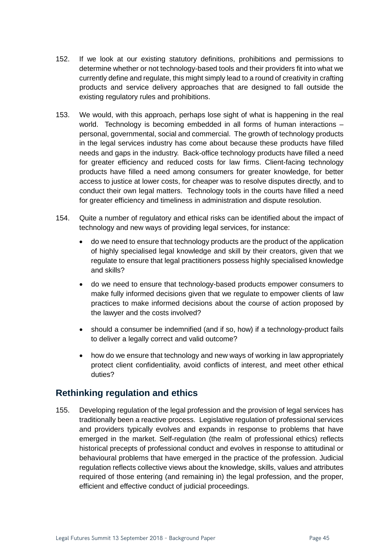- 152. If we look at our existing statutory definitions, prohibitions and permissions to determine whether or not technology-based tools and their providers fit into what we currently define and regulate, this might simply lead to a round of creativity in crafting products and service delivery approaches that are designed to fall outside the existing regulatory rules and prohibitions.
- 153. We would, with this approach, perhaps lose sight of what is happening in the real world. Technology is becoming embedded in all forms of human interactions – personal, governmental, social and commercial. The growth of technology products in the legal services industry has come about because these products have filled needs and gaps in the industry. Back-office technology products have filled a need for greater efficiency and reduced costs for law firms. Client-facing technology products have filled a need among consumers for greater knowledge, for better access to justice at lower costs, for cheaper was to resolve disputes directly, and to conduct their own legal matters. Technology tools in the courts have filled a need for greater efficiency and timeliness in administration and dispute resolution.
- 154. Quite a number of regulatory and ethical risks can be identified about the impact of technology and new ways of providing legal services, for instance:
	- do we need to ensure that technology products are the product of the application of highly specialised legal knowledge and skill by their creators, given that we regulate to ensure that legal practitioners possess highly specialised knowledge and skills?
	- do we need to ensure that technology-based products empower consumers to make fully informed decisions given that we regulate to empower clients of law practices to make informed decisions about the course of action proposed by the lawyer and the costs involved?
	- should a consumer be indemnified (and if so, how) if a technology-product fails to deliver a legally correct and valid outcome?
	- how do we ensure that technology and new ways of working in law appropriately protect client confidentiality, avoid conflicts of interest, and meet other ethical duties?

# <span id="page-44-0"></span>**Rethinking regulation and ethics**

155. Developing regulation of the legal profession and the provision of legal services has traditionally been a reactive process. Legislative regulation of professional services and providers typically evolves and expands in response to problems that have emerged in the market. Self-regulation (the realm of professional ethics) reflects historical precepts of professional conduct and evolves in response to attitudinal or behavioural problems that have emerged in the practice of the profession. Judicial regulation reflects collective views about the knowledge, skills, values and attributes required of those entering (and remaining in) the legal profession, and the proper, efficient and effective conduct of judicial proceedings.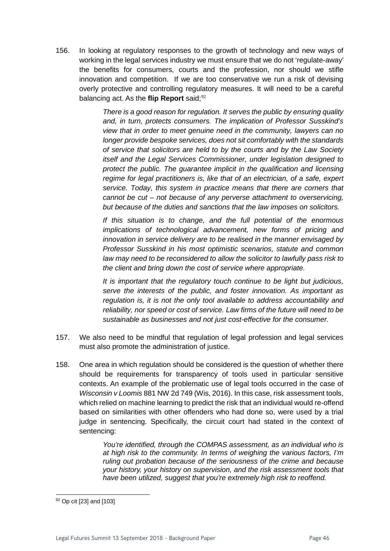156. In looking at regulatory responses to the growth of technology and new ways of working in the legal services industry we must ensure that we do not 'regulate-away' the benefits for consumers, courts and the profession, nor should we stifle innovation and competition. If we are too conservative we run a risk of devising overly protective and controlling regulatory measures. It will need to be a careful balancing act. As the fli**p Report** said;<sup>[92](#page-45-0)</sup>

> *There is a good reason for regulation. It serves the public by ensuring quality and, in turn, protects consumers. The implication of Professor Susskind's view that in order to meet genuine need in the community, lawyers can no longer provide bespoke services, does not sit comfortably with the standards of service that solicitors are held to by the courts and by the Law Society itself and the Legal Services Commissioner, under legislation designed to protect the public. The guarantee implicit in the qualification and licensing regime for legal practitioners is, like that of an electrician, of a safe, expert service. Today, this system in practice means that there are corners that cannot be cut – not because of any perverse attachment to overservicing, but because of the duties and sanctions that the law imposes on solicitors.*

> *If this situation is to change, and the full potential of the enormous implications of technological advancement, new forms of pricing and innovation in service delivery are to be realised in the manner envisaged by Professor Susskind in his most optimistic scenarios, statute and common law may need to be reconsidered to allow the solicitor to lawfully pass risk to the client and bring down the cost of service where appropriate.*

> *It is important that the regulatory touch continue to be light but judicious, serve the interests of the public, and foster innovation. As important as regulation is, it is not the only tool available to address accountability and reliability, nor speed or cost of service. Law firms of the future will need to be sustainable as businesses and not just cost-effective for the consumer.*

- 157. We also need to be mindful that regulation of legal profession and legal services must also promote the administration of justice.
- 158. One area in which regulation should be considered is the question of whether there should be requirements for transparency of tools used in particular sensitive contexts. An example of the problematic use of legal tools occurred in the case of *Wisconsin v Loomis* 881 NW 2d 749 (Wis, 2016). In this case, risk assessment tools, which relied on machine learning to predict the risk that an individual would re-offend based on similarities with other offenders who had done so, were used by a trial judge in sentencing. Specifically, the circuit court had stated in the context of sentencing:

*You're identified, through the COMPAS assessment, as an individual who is at high risk to the community. In terms of weighing the various factors, I'm ruling out probation because of the seriousness of the crime and because your history, your history on supervision, and the risk assessment tools that have been utilized, suggest that you're extremely high risk to reoffend.*

<span id="page-45-0"></span><sup>92</sup> Op cit [23] and [103]